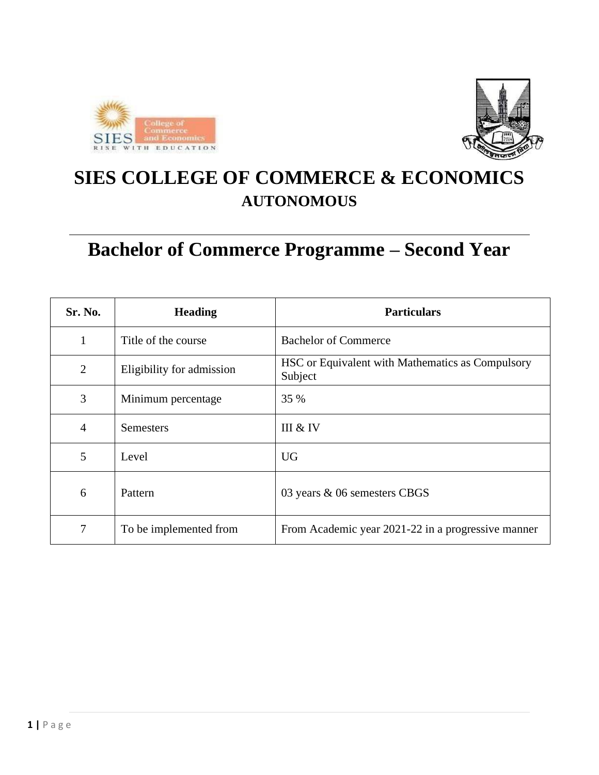



# **SIES COLLEGE OF COMMERCE & ECONOMICS AUTONOMOUS**

# **Bachelor of Commerce Programme – Second Year**

| Sr. No.        | <b>Heading</b>            | <b>Particulars</b>                                          |
|----------------|---------------------------|-------------------------------------------------------------|
| $\mathbf{1}$   | Title of the course       | <b>Bachelor of Commerce</b>                                 |
| $\overline{2}$ | Eligibility for admission | HSC or Equivalent with Mathematics as Compulsory<br>Subject |
| 3              | Minimum percentage        | 35 %                                                        |
| $\overline{4}$ | <b>Semesters</b>          | III & IV                                                    |
| 5              | Level                     | <b>UG</b>                                                   |
| 6              | Pattern                   | 03 years & 06 semesters CBGS                                |
| 7              | To be implemented from    | From Academic year 2021-22 in a progressive manner          |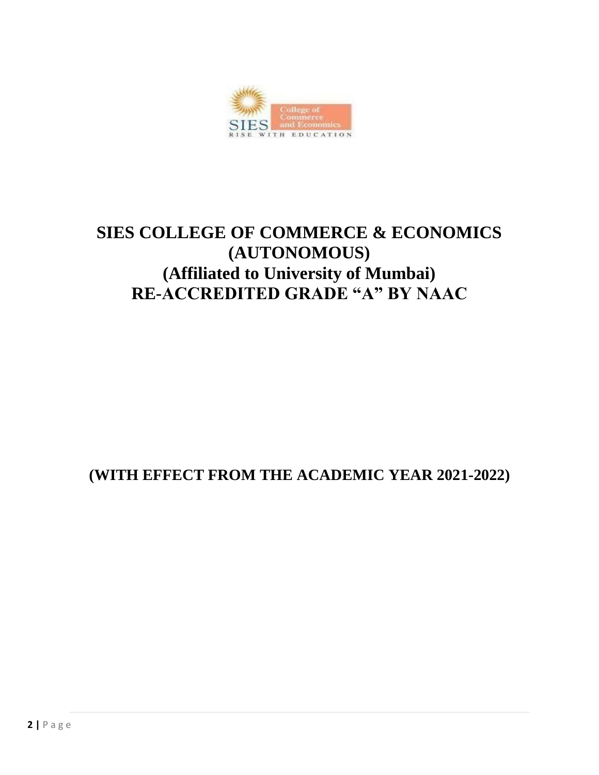

# **SIES COLLEGE OF COMMERCE & ECONOMICS (AUTONOMOUS) (Affiliated to University of Mumbai) RE-ACCREDITED GRADE "A" BY NAAC**

# **(WITH EFFECT FROM THE ACADEMIC YEAR 2021-2022)**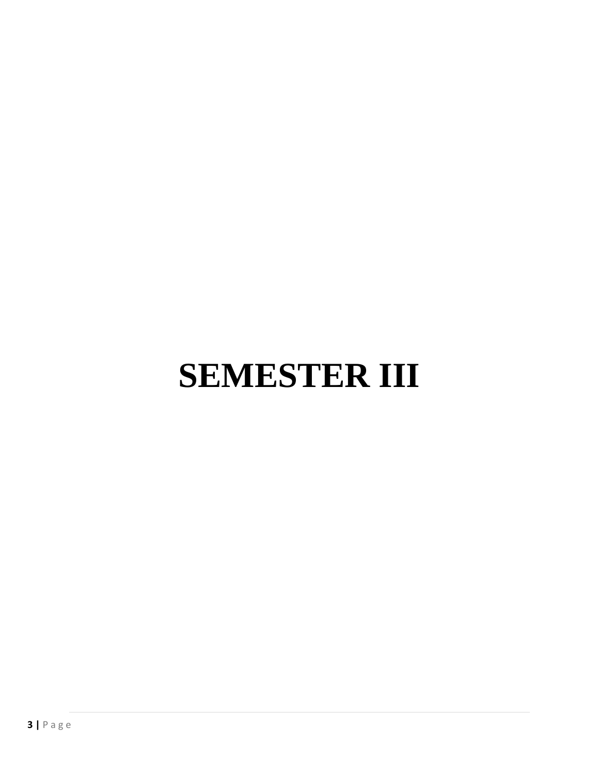# **SEMESTER III**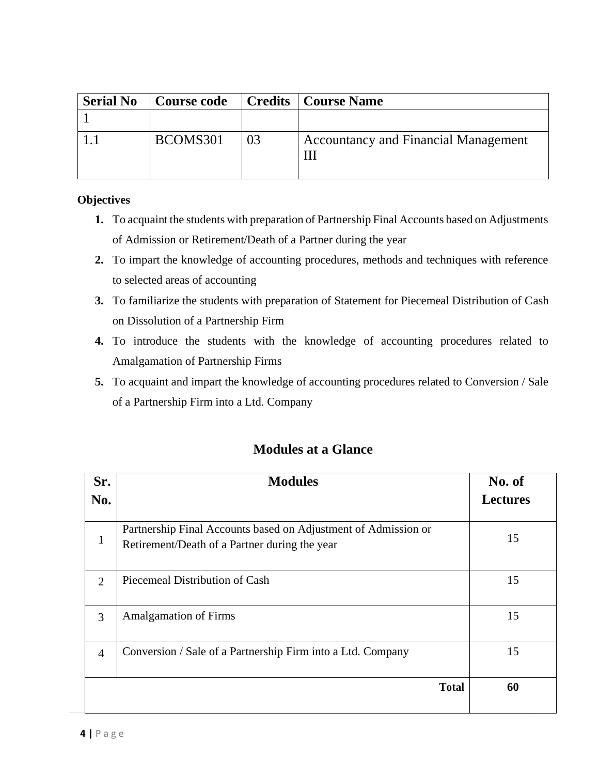| <b>Serial No</b> | <b>Course code</b> |    | <b>Credits</b>   Course Name                |
|------------------|--------------------|----|---------------------------------------------|
|                  |                    |    |                                             |
|                  | BCOMS301           | 03 | <b>Accountancy and Financial Management</b> |

#### **Objectives**

- **1.** To acquaint the students with preparation of Partnership Final Accounts based on Adjustments of Admission or Retirement/Death of a Partner during the year
- **2.** To impart the knowledge of accounting procedures, methods and techniques with reference to selected areas of accounting
- **3.** To familiarize the students with preparation of Statement for Piecemeal Distribution of Cash on Dissolution of a Partnership Firm
- **4.** To introduce the students with the knowledge of accounting procedures related to Amalgamation of Partnership Firms
- **5.** To acquaint and impart the knowledge of accounting procedures related to Conversion / Sale of a Partnership Firm into a Ltd. Company

| Sr.                         | <b>Modules</b>                                                                                                  | No. of          |
|-----------------------------|-----------------------------------------------------------------------------------------------------------------|-----------------|
| No.                         |                                                                                                                 | <b>Lectures</b> |
|                             | Partnership Final Accounts based on Adjustment of Admission or<br>Retirement/Death of a Partner during the year | 15              |
| $\mathcal{D}_{\mathcal{L}}$ | Piecemeal Distribution of Cash                                                                                  | 15              |
| 3                           | <b>Amalgamation of Firms</b>                                                                                    | 15              |
| $\overline{4}$              | Conversion / Sale of a Partnership Firm into a Ltd. Company                                                     | 15              |
|                             | <b>Total</b>                                                                                                    | 60              |

# **Modules at a Glance**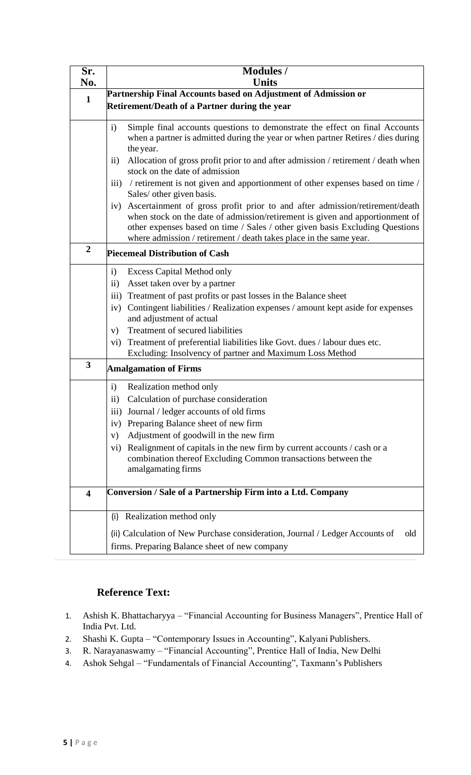| Sr.<br>No.              | <b>Modules</b> /<br><b>Units</b>                                                                                                                                                                                                                                                                                                                                                                                                                                                                                                                               |
|-------------------------|----------------------------------------------------------------------------------------------------------------------------------------------------------------------------------------------------------------------------------------------------------------------------------------------------------------------------------------------------------------------------------------------------------------------------------------------------------------------------------------------------------------------------------------------------------------|
|                         | Partnership Final Accounts based on Adjustment of Admission or                                                                                                                                                                                                                                                                                                                                                                                                                                                                                                 |
| $\mathbf{1}$            | <b>Retirement/Death of a Partner during the year</b>                                                                                                                                                                                                                                                                                                                                                                                                                                                                                                           |
|                         | Simple final accounts questions to demonstrate the effect on final Accounts<br>$\mathbf{i}$<br>when a partner is admitted during the year or when partner Retires / dies during<br>the year.<br>Allocation of gross profit prior to and after admission / retirement / death when<br>$\overline{11}$<br>stock on the date of admission<br>/ retirement is not given and apportionment of other expenses based on time /<br>$\overline{111}$<br>Sales/ other given basis.<br>Ascertainment of gross profit prior to and after admission/retirement/death<br>iv) |
|                         | when stock on the date of admission/retirement is given and apportionment of<br>other expenses based on time / Sales / other given basis Excluding Questions<br>where admission / retirement / death takes place in the same year.                                                                                                                                                                                                                                                                                                                             |
| $\overline{2}$          | <b>Piecemeal Distribution of Cash</b>                                                                                                                                                                                                                                                                                                                                                                                                                                                                                                                          |
|                         | <b>Excess Capital Method only</b><br>$\mathbf{i}$<br>Asset taken over by a partner<br>$\rm ii)$<br>Treatment of past profits or past losses in the Balance sheet<br>$\overline{iii}$<br>Contingent liabilities / Realization expenses / amount kept aside for expenses<br>iv)<br>and adjustment of actual<br>Treatment of secured liabilities<br>V)<br>Treatment of preferential liabilities like Govt. dues / labour dues etc.<br>vi)<br>Excluding: Insolvency of partner and Maximum Loss Method                                                             |
| 3                       | <b>Amalgamation of Firms</b>                                                                                                                                                                                                                                                                                                                                                                                                                                                                                                                                   |
|                         | Realization method only<br>$\mathbf{i}$<br>Calculation of purchase consideration<br>$\rm ii)$<br>Journal / ledger accounts of old firms<br>111)<br>Preparing Balance sheet of new firm<br>iv)<br>Adjustment of goodwill in the new firm<br>V)<br>Realignment of capitals in the new firm by current accounts / cash or a<br>$\rm{v}$ <sub>1</sub> $)$<br>combination thereof Excluding Common transactions between the<br>amalgamating firms                                                                                                                   |
| $\overline{\mathbf{4}}$ | <b>Conversion / Sale of a Partnership Firm into a Ltd. Company</b>                                                                                                                                                                                                                                                                                                                                                                                                                                                                                             |
|                         | (i) Realization method only                                                                                                                                                                                                                                                                                                                                                                                                                                                                                                                                    |
|                         | (ii) Calculation of New Purchase consideration, Journal / Ledger Accounts of<br>old<br>firms. Preparing Balance sheet of new company                                                                                                                                                                                                                                                                                                                                                                                                                           |

# **Reference Text:**

- 1. Ashish K. Bhattacharyya "Financial Accounting for Business Managers", Prentice Hall of India Pvt. Ltd.
- 2. Shashi K. Gupta "Contemporary Issues in Accounting", Kalyani Publishers.
- 3. R. Narayanaswamy "Financial Accounting", Prentice Hall of India, New Delhi
- 4. Ashok Sehgal "Fundamentals of Financial Accounting", Taxmann's Publishers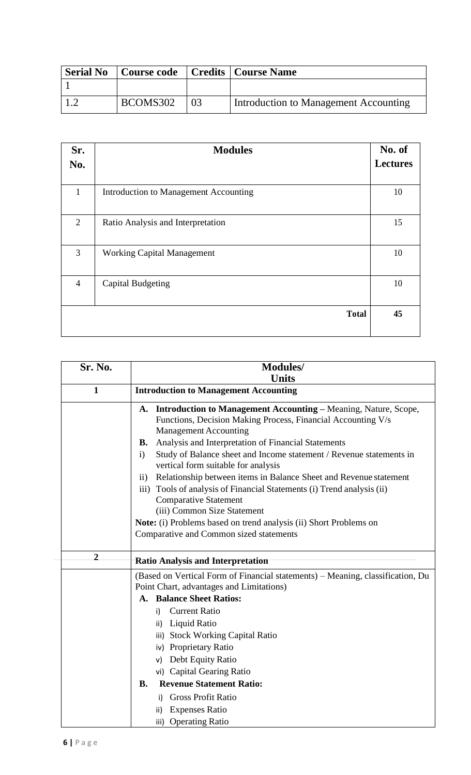| <b>Serial No</b> | Course code   Credits   Course Name |                                       |
|------------------|-------------------------------------|---------------------------------------|
|                  |                                     |                                       |
|                  | BCOMS302                            | Introduction to Management Accounting |

| Sr.<br>No.     | <b>Modules</b>                               | No. of<br><b>Lectures</b> |
|----------------|----------------------------------------------|---------------------------|
| $\mathbf{1}$   | <b>Introduction to Management Accounting</b> | 10                        |
| $\overline{2}$ | Ratio Analysis and Interpretation            | 15                        |
| $\overline{3}$ | <b>Working Capital Management</b>            | 10                        |
| $\overline{4}$ | <b>Capital Budgeting</b>                     | 10                        |
|                | <b>Total</b>                                 | 45                        |

| Sr. No.        | <b>Modules/</b><br><b>Units</b>                                                                                                                                                                                                                                                                                                                                                                                                                                                                                                                                                                                                                                                                                                          |  |  |
|----------------|------------------------------------------------------------------------------------------------------------------------------------------------------------------------------------------------------------------------------------------------------------------------------------------------------------------------------------------------------------------------------------------------------------------------------------------------------------------------------------------------------------------------------------------------------------------------------------------------------------------------------------------------------------------------------------------------------------------------------------------|--|--|
| $\mathbf{1}$   | <b>Introduction to Management Accounting</b>                                                                                                                                                                                                                                                                                                                                                                                                                                                                                                                                                                                                                                                                                             |  |  |
|                | <b>Introduction to Management Accounting - Meaning, Nature, Scope,</b><br>A.<br>Functions, Decision Making Process, Financial Accounting V/s<br><b>Management Accounting</b><br>Analysis and Interpretation of Financial Statements<br><b>B.</b><br>Study of Balance sheet and Income statement / Revenue statements in<br>$\mathbf{i}$<br>vertical form suitable for analysis<br>Relationship between items in Balance Sheet and Revenue statement<br>$\rm ii)$<br>Tools of analysis of Financial Statements (i) Trend analysis (ii)<br>$\overline{iii}$<br><b>Comparative Statement</b><br>(iii) Common Size Statement<br>Note: (i) Problems based on trend analysis (ii) Short Problems on<br>Comparative and Common sized statements |  |  |
| $\overline{2}$ | <b>Ratio Analysis and Interpretation</b>                                                                                                                                                                                                                                                                                                                                                                                                                                                                                                                                                                                                                                                                                                 |  |  |
|                | (Based on Vertical Form of Financial statements) - Meaning, classification, Du<br>Point Chart, advantages and Limitations)<br><b>Balance Sheet Ratios:</b><br>А.<br><b>Current Ratio</b><br>i).<br>Liquid Ratio<br>ii)<br>iii) Stock Working Capital Ratio<br>iv) Proprietary Ratio<br>Debt Equity Ratio<br>v)<br>vi) Capital Gearing Ratio<br><b>Revenue Statement Ratio:</b><br><b>B.</b><br><b>Gross Profit Ratio</b><br>i).<br><b>Expenses Ratio</b><br>ii)<br><b>Operating Ratio</b><br>iii)                                                                                                                                                                                                                                        |  |  |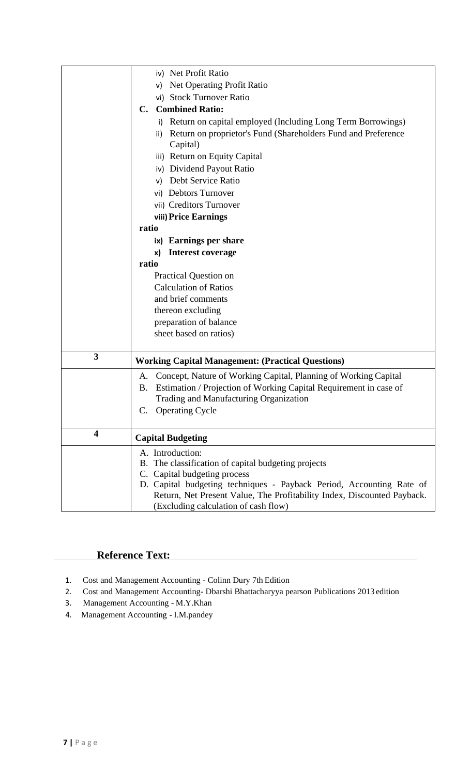|                         | iv) Net Profit Ratio                                                           |  |
|-------------------------|--------------------------------------------------------------------------------|--|
|                         | Net Operating Profit Ratio<br>v)                                               |  |
|                         | vi) Stock Turnover Ratio                                                       |  |
|                         | <b>Combined Ratio:</b><br>$\mathbf{C}$ .                                       |  |
|                         | Return on capital employed (Including Long Term Borrowings)<br>i)              |  |
|                         | Return on proprietor's Fund (Shareholders Fund and Preference<br>$\mathsf{ii}$ |  |
|                         | Capital)                                                                       |  |
|                         | iii) Return on Equity Capital                                                  |  |
|                         | iv) Dividend Payout Ratio                                                      |  |
|                         | Debt Service Ratio<br>v)                                                       |  |
|                         | vi) Debtors Turnover                                                           |  |
|                         | vii) Creditors Turnover                                                        |  |
|                         | viii) Price Earnings                                                           |  |
|                         | ratio                                                                          |  |
|                         | ix) Earnings per share                                                         |  |
|                         | <b>Interest coverage</b><br>x)                                                 |  |
|                         | ratio                                                                          |  |
|                         | <b>Practical Question on</b>                                                   |  |
|                         | <b>Calculation of Ratios</b>                                                   |  |
|                         | and brief comments                                                             |  |
|                         | thereon excluding                                                              |  |
|                         | preparation of balance                                                         |  |
|                         | sheet based on ratios)                                                         |  |
|                         |                                                                                |  |
| 3                       | <b>Working Capital Management: (Practical Questions)</b>                       |  |
|                         | Concept, Nature of Working Capital, Planning of Working Capital<br>A.          |  |
|                         | Estimation / Projection of Working Capital Requirement in case of<br>B.        |  |
|                         | Trading and Manufacturing Organization                                         |  |
|                         | C. Operating Cycle                                                             |  |
|                         |                                                                                |  |
| $\overline{\mathbf{4}}$ | <b>Capital Budgeting</b>                                                       |  |
|                         | A. Introduction:                                                               |  |
|                         | The classification of capital budgeting projects<br>В.                         |  |
|                         | C. Capital budgeting process                                                   |  |
|                         | D. Capital budgeting techniques - Payback Period, Accounting Rate of           |  |
|                         | Return, Net Present Value, The Profitability Index, Discounted Payback.        |  |
|                         | (Excluding calculation of cash flow)                                           |  |

# **Reference Text:**

- 1. Cost and Management Accounting Colinn Dury 7th Edition
- 2. Cost and Management Accounting- Dbarshi Bhattacharyya pearson Publications 2013 edition
- 3. Management Accounting M.Y.Khan
- 4. Management Accounting I.M.pandey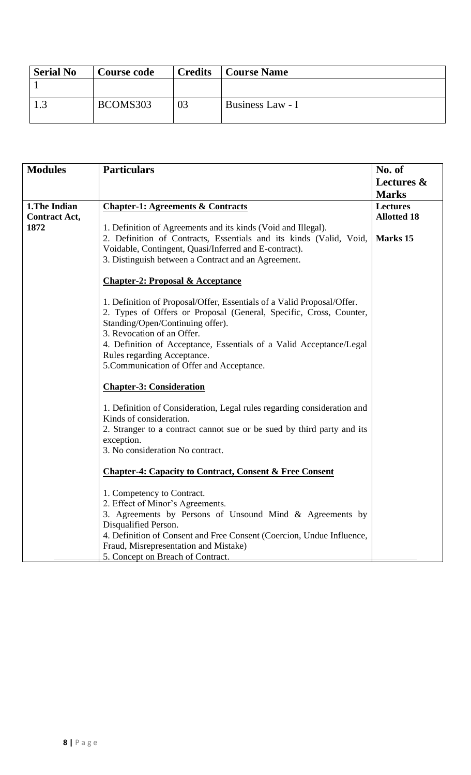| <b>Serial No</b> | <b>Course code</b> | <b>Credits</b> | <b>Course Name</b> |
|------------------|--------------------|----------------|--------------------|
|                  |                    |                |                    |
|                  | BCOMS303           |                | Business Law - I   |

| <b>Modules</b>                        | <b>Particulars</b>                                                                                                                                                                                                                                                                                        | No. of<br>Lectures &<br><b>Marks</b>  |
|---------------------------------------|-----------------------------------------------------------------------------------------------------------------------------------------------------------------------------------------------------------------------------------------------------------------------------------------------------------|---------------------------------------|
| 1. The Indian<br><b>Contract Act,</b> | <b>Chapter-1: Agreements &amp; Contracts</b>                                                                                                                                                                                                                                                              | <b>Lectures</b><br><b>Allotted 18</b> |
| 1872                                  | 1. Definition of Agreements and its kinds (Void and Illegal).<br>2. Definition of Contracts, Essentials and its kinds (Valid, Void,<br>Voidable, Contingent, Quasi/Inferred and E-contract).<br>3. Distinguish between a Contract and an Agreement.                                                       | Marks 15                              |
|                                       | <b>Chapter-2: Proposal &amp; Acceptance</b>                                                                                                                                                                                                                                                               |                                       |
|                                       | 1. Definition of Proposal/Offer, Essentials of a Valid Proposal/Offer.<br>2. Types of Offers or Proposal (General, Specific, Cross, Counter,<br>Standing/Open/Continuing offer).<br>3. Revocation of an Offer.                                                                                            |                                       |
|                                       | 4. Definition of Acceptance, Essentials of a Valid Acceptance/Legal<br>Rules regarding Acceptance.<br>5. Communication of Offer and Acceptance.                                                                                                                                                           |                                       |
|                                       | <b>Chapter-3: Consideration</b>                                                                                                                                                                                                                                                                           |                                       |
|                                       | 1. Definition of Consideration, Legal rules regarding consideration and<br>Kinds of consideration.<br>2. Stranger to a contract cannot sue or be sued by third party and its<br>exception.<br>3. No consideration No contract.                                                                            |                                       |
|                                       | <b>Chapter-4: Capacity to Contract, Consent &amp; Free Consent</b>                                                                                                                                                                                                                                        |                                       |
|                                       | 1. Competency to Contract.<br>2. Effect of Minor's Agreements.<br>3. Agreements by Persons of Unsound Mind & Agreements by<br>Disqualified Person.<br>4. Definition of Consent and Free Consent (Coercion, Undue Influence,<br>Fraud, Misrepresentation and Mistake)<br>5. Concept on Breach of Contract. |                                       |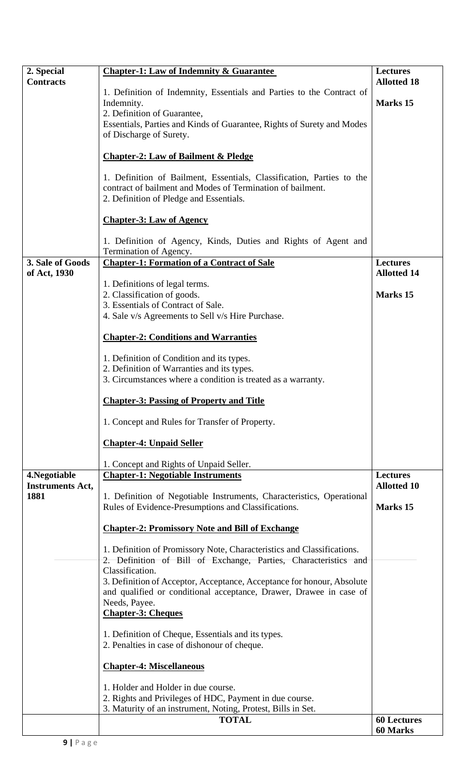| 2. Special                      | <b>Chapter-1: Law of Indemnity &amp; Guarantee</b>                                                                                                                             | <b>Lectures</b>    |
|---------------------------------|--------------------------------------------------------------------------------------------------------------------------------------------------------------------------------|--------------------|
| <b>Contracts</b>                |                                                                                                                                                                                | <b>Allotted 18</b> |
|                                 | 1. Definition of Indemnity, Essentials and Parties to the Contract of                                                                                                          | Marks 15           |
|                                 | Indemnity.<br>2. Definition of Guarantee,                                                                                                                                      |                    |
|                                 | Essentials, Parties and Kinds of Guarantee, Rights of Surety and Modes                                                                                                         |                    |
|                                 | of Discharge of Surety.                                                                                                                                                        |                    |
|                                 | <b>Chapter-2: Law of Bailment &amp; Pledge</b>                                                                                                                                 |                    |
|                                 |                                                                                                                                                                                |                    |
|                                 | 1. Definition of Bailment, Essentials, Classification, Parties to the<br>contract of bailment and Modes of Termination of bailment.<br>2. Definition of Pledge and Essentials. |                    |
|                                 | <b>Chapter-3: Law of Agency</b>                                                                                                                                                |                    |
|                                 | 1. Definition of Agency, Kinds, Duties and Rights of Agent and<br>Termination of Agency.                                                                                       |                    |
| 3. Sale of Goods                | <b>Chapter-1: Formation of a Contract of Sale</b>                                                                                                                              | <b>Lectures</b>    |
| of Act, 1930                    |                                                                                                                                                                                | <b>Allotted 14</b> |
|                                 | 1. Definitions of legal terms.<br>2. Classification of goods.                                                                                                                  | Marks 15           |
|                                 | 3. Essentials of Contract of Sale.                                                                                                                                             |                    |
|                                 | 4. Sale v/s Agreements to Sell v/s Hire Purchase.                                                                                                                              |                    |
|                                 |                                                                                                                                                                                |                    |
|                                 | <b>Chapter-2: Conditions and Warranties</b>                                                                                                                                    |                    |
|                                 | 1. Definition of Condition and its types.                                                                                                                                      |                    |
|                                 | 2. Definition of Warranties and its types.                                                                                                                                     |                    |
|                                 | 3. Circumstances where a condition is treated as a warranty.                                                                                                                   |                    |
|                                 | <b>Chapter-3: Passing of Property and Title</b>                                                                                                                                |                    |
|                                 | 1. Concept and Rules for Transfer of Property.                                                                                                                                 |                    |
|                                 | <b>Chapter-4: Unpaid Seller</b>                                                                                                                                                |                    |
|                                 | 1. Concept and Rights of Unpaid Seller.                                                                                                                                        |                    |
| 4. Negotiable                   | <b>Chapter-1: Negotiable Instruments</b>                                                                                                                                       | <b>Lectures</b>    |
| <b>Instruments Act,</b><br>1881 | 1. Definition of Negotiable Instruments, Characteristics, Operational                                                                                                          | <b>Allotted 10</b> |
|                                 | Rules of Evidence-Presumptions and Classifications.                                                                                                                            | Marks 15           |
|                                 | <b>Chapter-2: Promissory Note and Bill of Exchange</b>                                                                                                                         |                    |
|                                 | 1. Definition of Promissory Note, Characteristics and Classifications.                                                                                                         |                    |
|                                 | 2. Definition of Bill of Exchange, Parties, Characteristics and                                                                                                                |                    |
|                                 | Classification.<br>3. Definition of Acceptor, Acceptance, Acceptance for honour, Absolute                                                                                      |                    |
|                                 | and qualified or conditional acceptance, Drawer, Drawee in case of                                                                                                             |                    |
|                                 | Needs, Payee.                                                                                                                                                                  |                    |
|                                 | <b>Chapter-3: Cheques</b>                                                                                                                                                      |                    |
|                                 | 1. Definition of Cheque, Essentials and its types.                                                                                                                             |                    |
|                                 | 2. Penalties in case of dishonour of cheque.                                                                                                                                   |                    |
|                                 | <b>Chapter-4: Miscellaneous</b>                                                                                                                                                |                    |
|                                 | 1. Holder and Holder in due course.                                                                                                                                            |                    |
|                                 | 2. Rights and Privileges of HDC, Payment in due course.                                                                                                                        |                    |
|                                 | 3. Maturity of an instrument, Noting, Protest, Bills in Set.                                                                                                                   | <b>60 Lectures</b> |
|                                 | <b>TOTAL</b>                                                                                                                                                                   | <b>60 Marks</b>    |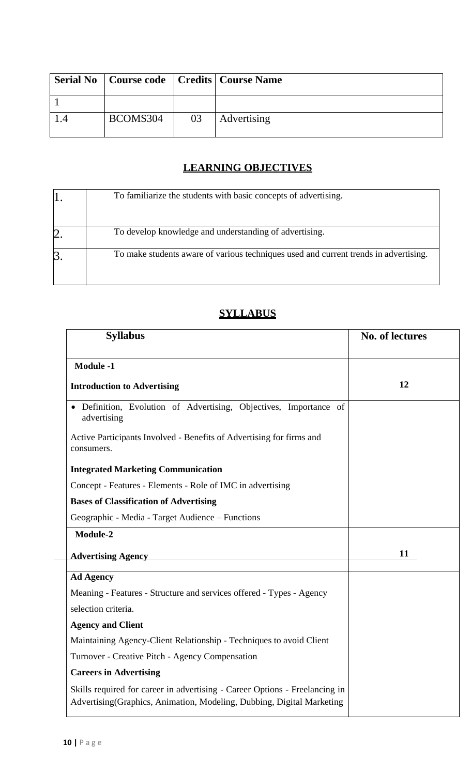|          |    | Serial No   Course code   Credits   Course Name |
|----------|----|-------------------------------------------------|
|          |    |                                                 |
| BCOMS304 | 03 | Advertising                                     |

# **LEARNING OBJECTIVES**

| To familiarize the students with basic concepts of advertising.                      |
|--------------------------------------------------------------------------------------|
| To develop knowledge and understanding of advertising.                               |
| To make students aware of various techniques used and current trends in advertising. |

# **SYLLABUS**

| <b>Syllabus</b>                                                                                                                                       | <b>No. of lectures</b> |
|-------------------------------------------------------------------------------------------------------------------------------------------------------|------------------------|
| <b>Module -1</b>                                                                                                                                      |                        |
| <b>Introduction to Advertising</b>                                                                                                                    | 12                     |
| · Definition, Evolution of Advertising, Objectives, Importance of<br>advertising                                                                      |                        |
| Active Participants Involved - Benefits of Advertising for firms and<br>consumers.                                                                    |                        |
| <b>Integrated Marketing Communication</b>                                                                                                             |                        |
| Concept - Features - Elements - Role of IMC in advertising                                                                                            |                        |
| <b>Bases of Classification of Advertising</b>                                                                                                         |                        |
| Geographic - Media - Target Audience – Functions                                                                                                      |                        |
| Module-2                                                                                                                                              |                        |
| <b>Advertising Agency</b>                                                                                                                             | 11                     |
| <b>Ad Agency</b>                                                                                                                                      |                        |
| Meaning - Features - Structure and services offered - Types - Agency                                                                                  |                        |
| selection criteria.                                                                                                                                   |                        |
| <b>Agency and Client</b>                                                                                                                              |                        |
| Maintaining Agency-Client Relationship - Techniques to avoid Client                                                                                   |                        |
| Turnover - Creative Pitch - Agency Compensation                                                                                                       |                        |
| <b>Careers in Advertising</b>                                                                                                                         |                        |
| Skills required for career in advertising - Career Options - Freelancing in<br>Advertising (Graphics, Animation, Modeling, Dubbing, Digital Marketing |                        |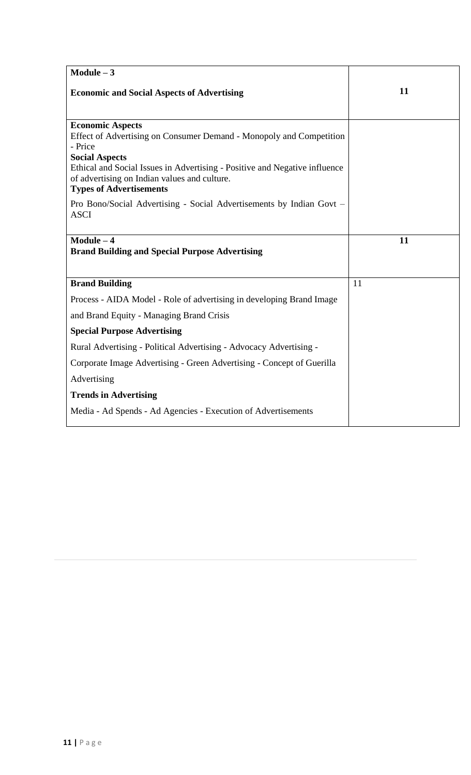| $Module - 3$                                                                                                                                                 |    |
|--------------------------------------------------------------------------------------------------------------------------------------------------------------|----|
| <b>Economic and Social Aspects of Advertising</b>                                                                                                            | 11 |
|                                                                                                                                                              |    |
| <b>Economic Aspects</b><br>Effect of Advertising on Consumer Demand - Monopoly and Competition                                                               |    |
| - Price                                                                                                                                                      |    |
| <b>Social Aspects</b>                                                                                                                                        |    |
| Ethical and Social Issues in Advertising - Positive and Negative influence<br>of advertising on Indian values and culture.<br><b>Types of Advertisements</b> |    |
| Pro Bono/Social Advertising - Social Advertisements by Indian Govt –                                                                                         |    |
| <b>ASCI</b>                                                                                                                                                  |    |
|                                                                                                                                                              |    |
| $Module - 4$                                                                                                                                                 | 11 |
| <b>Brand Building and Special Purpose Advertising</b>                                                                                                        |    |
|                                                                                                                                                              |    |
| <b>Brand Building</b>                                                                                                                                        | 11 |
| Process - AIDA Model - Role of advertising in developing Brand Image                                                                                         |    |
| and Brand Equity - Managing Brand Crisis                                                                                                                     |    |
| <b>Special Purpose Advertising</b>                                                                                                                           |    |
| Rural Advertising - Political Advertising - Advocacy Advertising -                                                                                           |    |
| Corporate Image Advertising - Green Advertising - Concept of Guerilla                                                                                        |    |
| Advertising                                                                                                                                                  |    |
| <b>Trends in Advertising</b>                                                                                                                                 |    |
| Media - Ad Spends - Ad Agencies - Execution of Advertisements                                                                                                |    |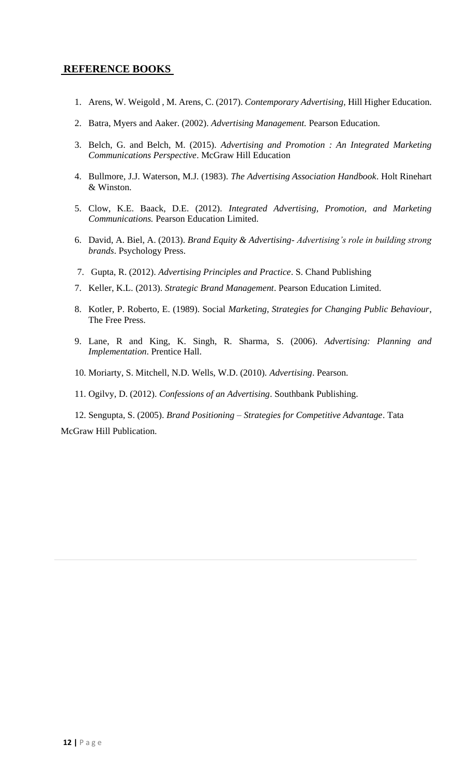## **REFERENCE BOOKS**

- 1. Arens, W. Weigold , M. Arens, C. (2017). *Contemporary Advertising,* Hill Higher Education.
- 2. Batra, Myers and Aaker. (2002). *Advertising Management.* Pearson Education.
- 3. Belch, G. and Belch, M. (2015). *Advertising and Promotion : An Integrated Marketing Communications Perspective*. McGraw Hill Education
- 4. Bullmore, J.J. Waterson, M.J. (1983). *The Advertising Association Handbook*. Holt Rinehart & Winston.
- 5. Clow, K.E. Baack, D.E. (2012). *Integrated Advertising, Promotion, and Marketing Communications.* Pearson Education Limited.
- 6. David, A. Biel, A. (2013). *Brand Equity & Advertising- Advertising's role in building strong brands*. Psychology Press.
- 7. Gupta, R. (2012). *Advertising Principles and Practice*. S. Chand Publishing
- 7. Keller, K.L. (2013). *Strategic Brand Management*. Pearson Education Limited.
- 8. Kotler, P. Roberto, E. (1989). Social *Marketing, Strategies for Changing Public Behaviour*, The Free Press.
- 9. Lane, R and King, K. Singh, R. Sharma, S. (2006). *Advertising: Planning and Implementation*. Prentice Hall.
- 10. Moriarty, S. Mitchell, N.D. Wells, W.D. (2010). *Advertising*. Pearson.
- 11. Ogilvy, D. (2012). *Confessions of an Advertising*. Southbank Publishing.

 12. Sengupta, S. (2005). *Brand Positioning – Strategies for Competitive Advantage*. Tata McGraw Hill Publication.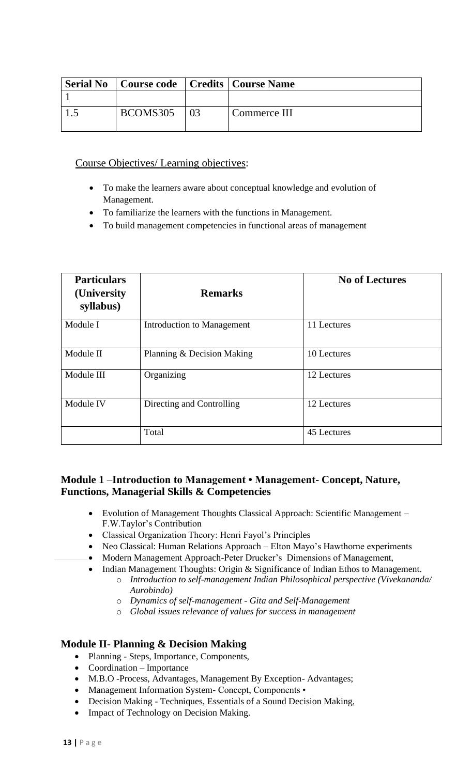| <b>Serial No</b> | Course code   Credits   Course Name |    |              |
|------------------|-------------------------------------|----|--------------|
|                  |                                     |    |              |
|                  | BCOMS305                            | 03 | Commerce III |

### Course Objectives/ Learning objectives:

- To make the learners aware about conceptual knowledge and evolution of Management.
- To familiarize the learners with the functions in Management.
- To build management competencies in functional areas of management

| <b>Particulars</b><br>(University)<br>syllabus) | <b>Remarks</b>             | <b>No of Lectures</b> |
|-------------------------------------------------|----------------------------|-----------------------|
| Module I                                        | Introduction to Management | 11 Lectures           |
| Module II                                       | Planning & Decision Making | 10 Lectures           |
| Module III                                      | Organizing                 | 12 Lectures           |
| Module IV                                       | Directing and Controlling  | 12 Lectures           |
|                                                 | Total                      | 45 Lectures           |

# **Module 1** –**Introduction to Management • Management- Concept, Nature, Functions, Managerial Skills & Competencies**

- Evolution of Management Thoughts Classical Approach: Scientific Management F.W.Taylor's Contribution
- Classical Organization Theory: Henri Fayol's Principles
- Neo Classical: Human Relations Approach Elton Mayo's Hawthorne experiments
- Modern Management Approach-Peter Drucker's Dimensions of Management,
- Indian Management Thoughts: Origin & Significance of Indian Ethos to Management.
	- o *Introduction to self-management Indian Philosophical perspective (Vivekananda/ Aurobindo)*
	- o *Dynamics of self-management - Gita and Self-Management*
	- o *Global issues relevance of values for success in management*

# **Module II- Planning & Decision Making**

- Planning Steps, Importance, Components,
- Coordination Importance
- M.B.O -Process, Advantages, Management By Exception- Advantages;
- Management Information System- Concept, Components •
- Decision Making Techniques, Essentials of a Sound Decision Making,
- Impact of Technology on Decision Making.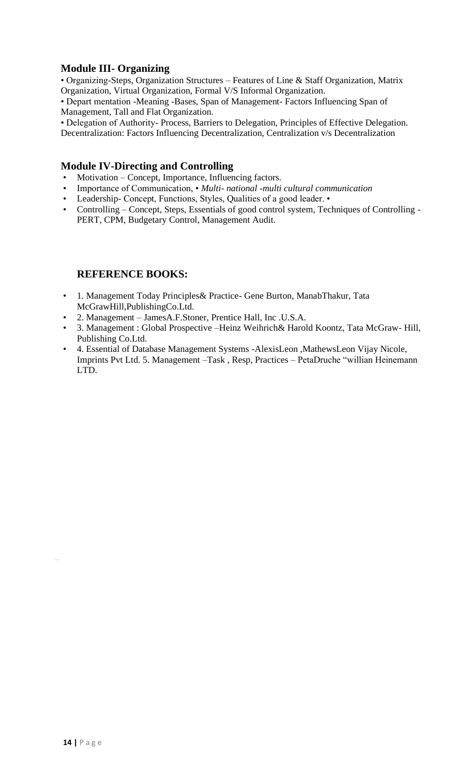# **Module III- Organizing**

• Organizing-Steps, Organization Structures – Features of Line & Staff Organization, Matrix Organization, Virtual Organization, Formal V/S Informal Organization.

• Depart mentation -Meaning -Bases, Span of Management- Factors Influencing Span of Management, Tall and Flat Organization.

• Delegation of Authority- Process, Barriers to Delegation, Principles of Effective Delegation. Decentralization: Factors Influencing Decentralization, Centralization v/s Decentralization

### **Module IV-Directing and Controlling**

- Motivation Concept, Importance, Influencing factors.
- Importance of Communication, *Multi- national -multi cultural communication*
- Leadership- Concept, Functions, Styles, Qualities of a good leader. •
- Controlling Concept, Steps, Essentials of good control system, Techniques of Controlling PERT, CPM, Budgetary Control, Management Audit.

# **REFERENCE BOOKS:**

- 1. Management Today Principles& Practice- Gene Burton, ManabThakur, Tata McGrawHill,PublishingCo.Ltd.
- 2. Management JamesA.F.Stoner, Prentice Hall, Inc .U.S.A.
- 3. Management : Global Prospective –Heinz Weihrich& Harold Koontz, Tata McGraw- Hill, Publishing Co.Ltd.
- 4. Essential of Database Management Systems -AlexisLeon ,MathewsLeon Vijay Nicole, Imprints Pvt Ltd. 5. Management –Task , Resp, Practices – PetaDruche "willian Heinemann LTD.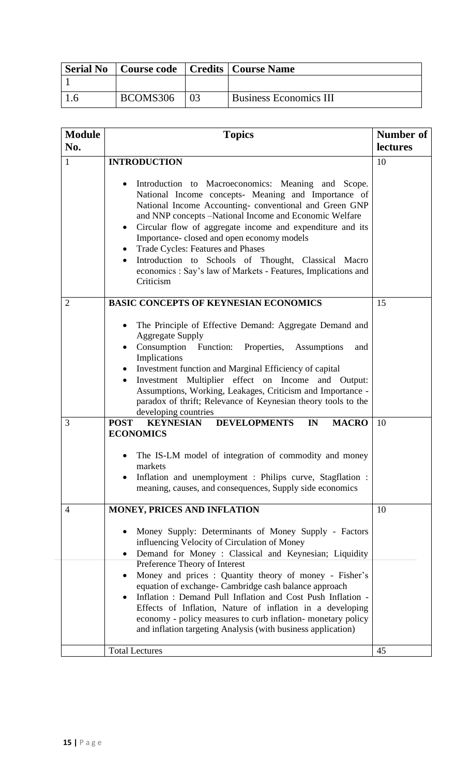| <b>Serial No</b> |          | Course code   Credits   Course Name |
|------------------|----------|-------------------------------------|
|                  |          |                                     |
|                  | BCOMS306 | <b>Business Economics III</b>       |

| <b>Module</b><br>No. | <b>Topics</b>                                                                                                                                                                                                                                                                                                                                                                                                                                                                                                                                                               | Number of<br>lectures |  |
|----------------------|-----------------------------------------------------------------------------------------------------------------------------------------------------------------------------------------------------------------------------------------------------------------------------------------------------------------------------------------------------------------------------------------------------------------------------------------------------------------------------------------------------------------------------------------------------------------------------|-----------------------|--|
| $\mathbf{1}$         | <b>INTRODUCTION</b>                                                                                                                                                                                                                                                                                                                                                                                                                                                                                                                                                         | 10                    |  |
|                      | Introduction to Macroeconomics: Meaning and Scope.<br>$\bullet$<br>National Income concepts- Meaning and Importance of<br>National Income Accounting-conventional and Green GNP<br>and NNP concepts -National Income and Economic Welfare<br>Circular flow of aggregate income and expenditure and its<br>$\bullet$<br>Importance-closed and open economy models<br><b>Trade Cycles: Features and Phases</b><br>$\bullet$<br>Introduction to Schools of Thought, Classical Macro<br>$\bullet$<br>economics : Say's law of Markets - Features, Implications and<br>Criticism |                       |  |
| $\overline{2}$       | <b>BASIC CONCEPTS OF KEYNESIAN ECONOMICS</b>                                                                                                                                                                                                                                                                                                                                                                                                                                                                                                                                | 15                    |  |
|                      | The Principle of Effective Demand: Aggregate Demand and<br>$\bullet$<br><b>Aggregate Supply</b><br>Consumption Function: Properties, Assumptions<br>and<br>$\bullet$<br>Implications<br>Investment function and Marginal Efficiency of capital<br>$\bullet$<br>Investment Multiplier effect on Income and Output:<br>Assumptions, Working, Leakages, Criticism and Importance -<br>paradox of thrift; Relevance of Keynesian theory tools to the<br>developing countries                                                                                                    |                       |  |
| 3                    | <b>POST</b><br><b>DEVELOPMENTS</b><br><b>KEYNESIAN</b><br>IN<br><b>MACRO</b><br><b>ECONOMICS</b>                                                                                                                                                                                                                                                                                                                                                                                                                                                                            | 10                    |  |
|                      | The IS-LM model of integration of commodity and money<br>markets<br>Inflation and unemployment : Philips curve, Stagflation :<br>meaning, causes, and consequences, Supply side economics                                                                                                                                                                                                                                                                                                                                                                                   |                       |  |
| $\overline{4}$       | MONEY, PRICES AND INFLATION                                                                                                                                                                                                                                                                                                                                                                                                                                                                                                                                                 | 10                    |  |
|                      | Money Supply: Determinants of Money Supply - Factors<br>$\bullet$<br>influencing Velocity of Circulation of Money<br>Demand for Money : Classical and Keynesian; Liquidity<br>$\bullet$                                                                                                                                                                                                                                                                                                                                                                                     |                       |  |
|                      | Preference Theory of Interest<br>Money and prices : Quantity theory of money - Fisher's<br>equation of exchange- Cambridge cash balance approach<br>Inflation: Demand Pull Inflation and Cost Push Inflation -<br>Effects of Inflation, Nature of inflation in a developing<br>economy - policy measures to curb inflation- monetary policy<br>and inflation targeting Analysis (with business application)                                                                                                                                                                 |                       |  |
|                      | <b>Total Lectures</b>                                                                                                                                                                                                                                                                                                                                                                                                                                                                                                                                                       | 45                    |  |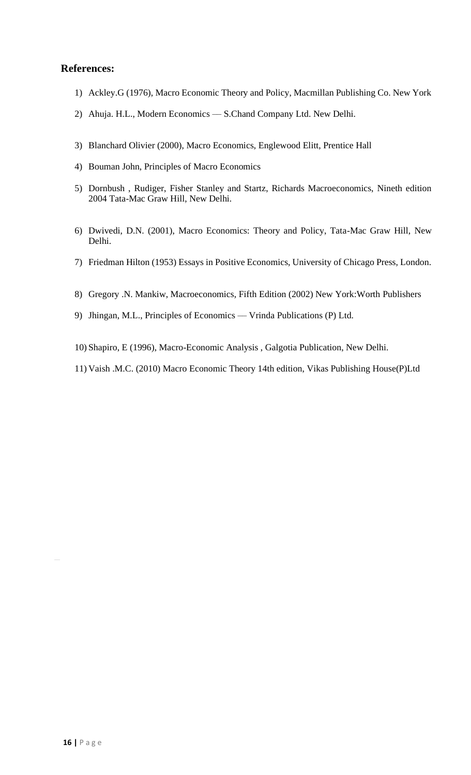- 1) Ackley.G (1976), Macro Economic Theory and Policy, Macmillan Publishing Co. New York
- 2) Ahuja. H.L., Modern Economics –– S.Chand Company Ltd. New Delhi.
- 3) Blanchard Olivier (2000), Macro Economics, Englewood Elitt, Prentice Hall
- 4) Bouman John, Principles of Macro Economics
- 5) Dornbush , Rudiger, Fisher Stanley and Startz, Richards Macroeconomics, Nineth edition 2004 Tata-Mac Graw Hill, New Delhi.
- 6) Dwivedi, D.N. (2001), Macro Economics: Theory and Policy, Tata-Mac Graw Hill, New Delhi.
- 7) Friedman Hilton (1953) Essays in Positive Economics, University of Chicago Press, London.
- 8) Gregory .N. Mankiw, Macroeconomics, Fifth Edition (2002) New York:Worth Publishers
- 9) Jhingan, M.L., Principles of Economics Vrinda Publications (P) Ltd.
- 10) Shapiro, E (1996), Macro-Economic Analysis , Galgotia Publication, New Delhi.
- 11) Vaish .M.C. (2010) Macro Economic Theory 14th edition, Vikas Publishing House(P)Ltd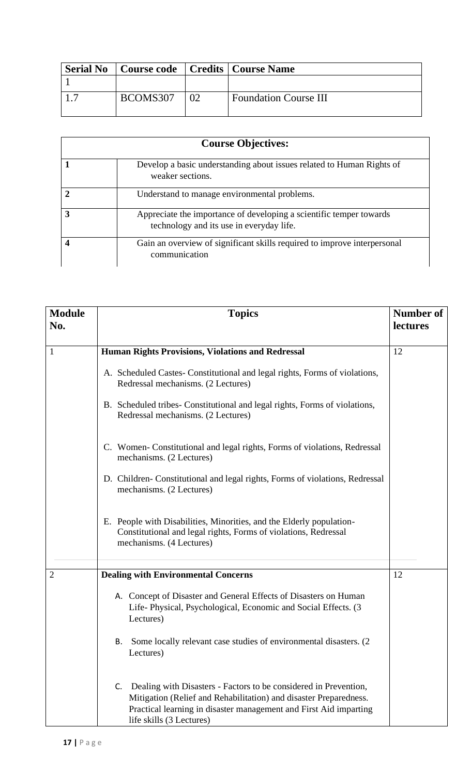| BCOMS307 | 02 | <b>Foundation Course III</b>                           |
|----------|----|--------------------------------------------------------|
|          |    | <b>Serial No</b>   Course code   Credits   Course Name |

|               | <b>Course Objectives:</b>                                                                                       |
|---------------|-----------------------------------------------------------------------------------------------------------------|
|               | Develop a basic understanding about issues related to Human Rights of<br>weaker sections.                       |
| $\mathcal{D}$ | Understand to manage environmental problems.                                                                    |
| 3             | Appreciate the importance of developing a scientific temper towards<br>technology and its use in everyday life. |
|               | Gain an overview of significant skills required to improve interpersonal<br>communication                       |

| <b>Module</b><br>No. | <b>Topics</b>                                                                                                                                                                                                                                | <b>Number of</b><br><b>lectures</b> |
|----------------------|----------------------------------------------------------------------------------------------------------------------------------------------------------------------------------------------------------------------------------------------|-------------------------------------|
| $\mathbf{1}$         | <b>Human Rights Provisions, Violations and Redressal</b>                                                                                                                                                                                     | 12                                  |
|                      | A. Scheduled Castes-Constitutional and legal rights, Forms of violations,<br>Redressal mechanisms. (2 Lectures)                                                                                                                              |                                     |
|                      | B. Scheduled tribes- Constitutional and legal rights, Forms of violations,<br>Redressal mechanisms. (2 Lectures)                                                                                                                             |                                     |
|                      | C. Women-Constitutional and legal rights, Forms of violations, Redressal<br>mechanisms. (2 Lectures)                                                                                                                                         |                                     |
|                      | D. Children-Constitutional and legal rights, Forms of violations, Redressal<br>mechanisms. (2 Lectures)                                                                                                                                      |                                     |
|                      | E. People with Disabilities, Minorities, and the Elderly population-<br>Constitutional and legal rights, Forms of violations, Redressal<br>mechanisms. (4 Lectures)                                                                          |                                     |
| 2                    | <b>Dealing with Environmental Concerns</b>                                                                                                                                                                                                   | 12                                  |
|                      | A. Concept of Disaster and General Effects of Disasters on Human<br>Life-Physical, Psychological, Economic and Social Effects. (3)<br>Lectures)                                                                                              |                                     |
|                      | Some locally relevant case studies of environmental disasters. (2)<br>В.<br>Lectures)                                                                                                                                                        |                                     |
|                      | Dealing with Disasters - Factors to be considered in Prevention,<br>C.<br>Mitigation (Relief and Rehabilitation) and disaster Preparedness.<br>Practical learning in disaster management and First Aid imparting<br>life skills (3 Lectures) |                                     |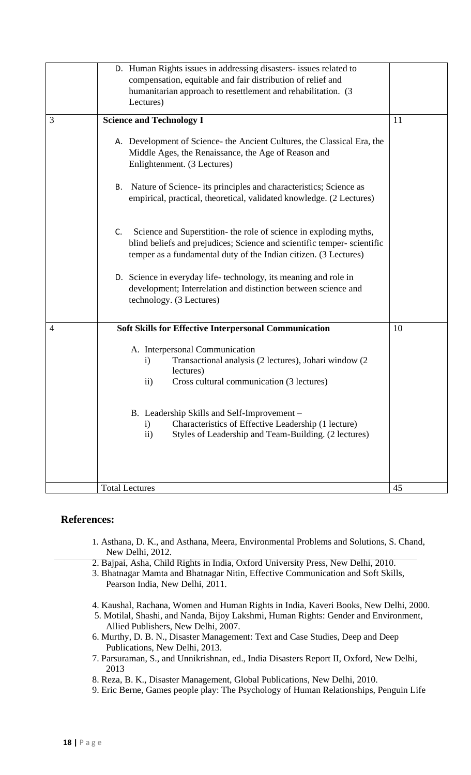|   | D. Human Rights issues in addressing disasters- issues related to<br>compensation, equitable and fair distribution of relief and<br>humanitarian approach to resettlement and rehabilitation. (3)<br>Lectures)        |    |
|---|-----------------------------------------------------------------------------------------------------------------------------------------------------------------------------------------------------------------------|----|
| 3 | <b>Science and Technology I</b>                                                                                                                                                                                       | 11 |
|   | A. Development of Science- the Ancient Cultures, the Classical Era, the<br>Middle Ages, the Renaissance, the Age of Reason and<br>Enlightenment. (3 Lectures)                                                         |    |
|   | Nature of Science- its principles and characteristics; Science as<br>В.<br>empirical, practical, theoretical, validated knowledge. (2 Lectures)                                                                       |    |
|   | Science and Superstition- the role of science in exploding myths,<br>C.<br>blind beliefs and prejudices; Science and scientific temper-scientific<br>temper as a fundamental duty of the Indian citizen. (3 Lectures) |    |
|   | D. Science in everyday life-technology, its meaning and role in<br>development; Interrelation and distinction between science and<br>technology. (3 Lectures)                                                         |    |
| 4 | <b>Soft Skills for Effective Interpersonal Communication</b>                                                                                                                                                          | 10 |
|   | A. Interpersonal Communication<br>Transactional analysis (2 lectures), Johari window (2<br>$\mathbf{i}$<br>lectures)<br>Cross cultural communication (3 lectures)<br>$\mathbf{ii}$                                    |    |
|   | B. Leadership Skills and Self-Improvement –<br>Characteristics of Effective Leadership (1 lecture)                                                                                                                    |    |
|   | $\mathbf{i}$<br>$\mathbf{ii}$<br>Styles of Leadership and Team-Building. (2 lectures)                                                                                                                                 |    |
|   | <b>Total Lectures</b>                                                                                                                                                                                                 | 45 |

- 1. Asthana, D. K., and Asthana, Meera, Environmental Problems and Solutions, S. Chand, New Delhi, 2012.
- 2. Bajpai, Asha, Child Rights in India, Oxford University Press, New Delhi, 2010.
- 3. Bhatnagar Mamta and Bhatnagar Nitin, Effective Communication and Soft Skills, Pearson India, New Delhi, 2011.
- 4. Kaushal, Rachana, Women and Human Rights in India, Kaveri Books, New Delhi, 2000.
- 5. Motilal, Shashi, and Nanda, Bijoy Lakshmi, Human Rights: Gender and Environment, Allied Publishers, New Delhi, 2007.
- 6. Murthy, D. B. N., Disaster Management: Text and Case Studies, Deep and Deep Publications, New Delhi, 2013.
- 7. Parsuraman, S., and Unnikrishnan, ed., India Disasters Report II, Oxford, New Delhi, 2013
- 8. Reza, B. K., Disaster Management, Global Publications, New Delhi, 2010.
- 9. Eric Berne, Games people play: The Psychology of Human Relationships, Penguin Life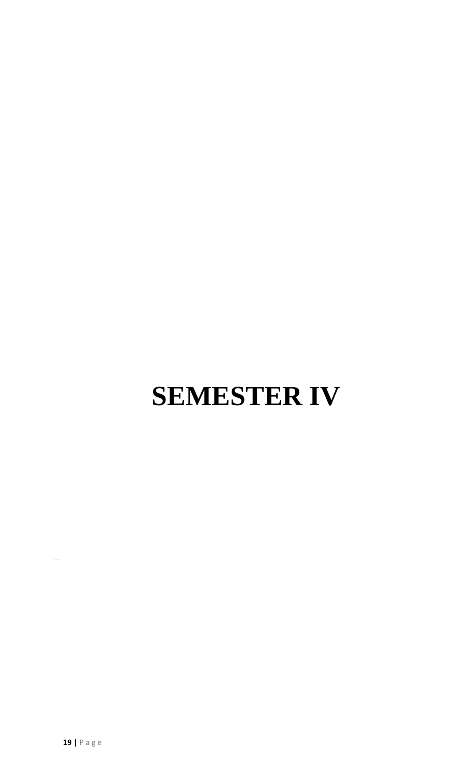# **SEMESTER IV**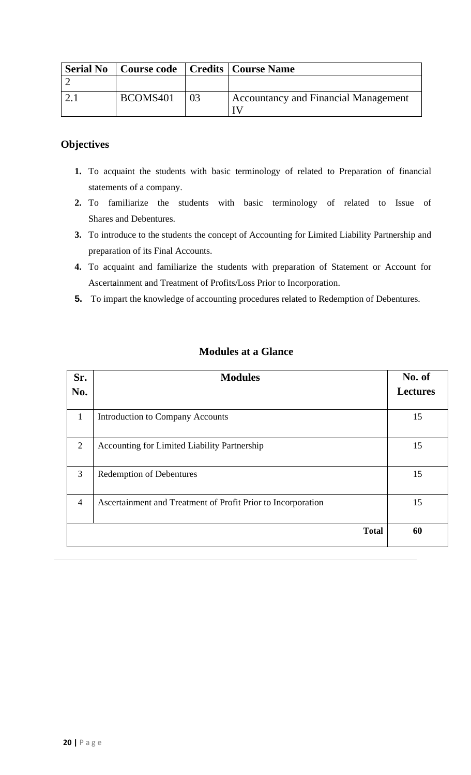| <b>Serial No</b> |          | Course code   Credits   Course Name  |
|------------------|----------|--------------------------------------|
|                  |          |                                      |
|                  | BCOMS401 | Accountancy and Financial Management |

# **Objectives**

- **1.** To acquaint the students with basic terminology of related to Preparation of financial statements of a company.
- **2.** To familiarize the students with basic terminology of related to Issue of Shares and Debentures.
- **3.** To introduce to the students the concept of Accounting for Limited Liability Partnership and preparation of its Final Accounts.
- **4.** To acquaint and familiarize the students with preparation of Statement or Account for Ascertainment and Treatment of Profits/Loss Prior to Incorporation.
- **5.** To impart the knowledge of accounting procedures related to Redemption of Debentures.

| Sr.<br>No.     | <b>Modules</b>                                               | No. of<br><b>Lectures</b> |
|----------------|--------------------------------------------------------------|---------------------------|
| 1              | <b>Introduction to Company Accounts</b>                      | 15                        |
| 2              | Accounting for Limited Liability Partnership                 | 15                        |
| 3              | <b>Redemption of Debentures</b>                              | 15                        |
| $\overline{4}$ | Ascertainment and Treatment of Profit Prior to Incorporation | 15                        |
|                | <b>Total</b>                                                 | 60                        |

# **Modules at a Glance**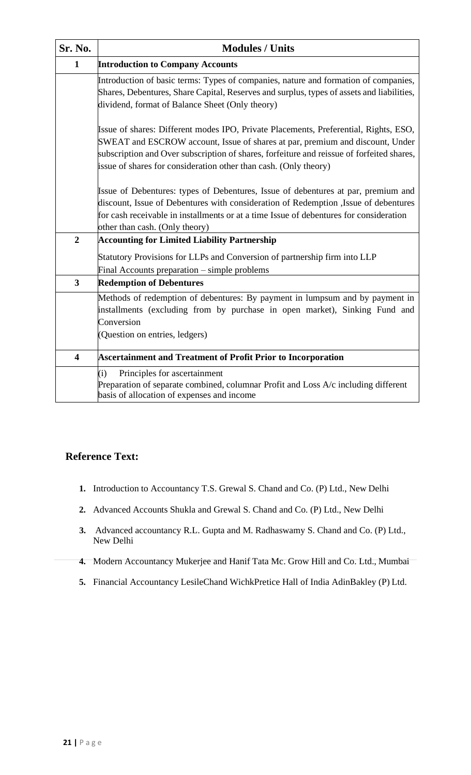| Sr. No.                 | <b>Modules / Units</b>                                                                                                                                                                                                                                                                                                                 |
|-------------------------|----------------------------------------------------------------------------------------------------------------------------------------------------------------------------------------------------------------------------------------------------------------------------------------------------------------------------------------|
| $\mathbf{1}$            | <b>Introduction to Company Accounts</b>                                                                                                                                                                                                                                                                                                |
|                         | Introduction of basic terms: Types of companies, nature and formation of companies,<br>Shares, Debentures, Share Capital, Reserves and surplus, types of assets and liabilities,<br>dividend, format of Balance Sheet (Only theory)                                                                                                    |
|                         | Issue of shares: Different modes IPO, Private Placements, Preferential, Rights, ESO,<br>SWEAT and ESCROW account, Issue of shares at par, premium and discount, Under<br>subscription and Over subscription of shares, forfeiture and reissue of forfeited shares,<br>issue of shares for consideration other than cash. (Only theory) |
|                         | Issue of Debentures: types of Debentures, Issue of debentures at par, premium and<br>discount, Issue of Debentures with consideration of Redemption ,Issue of debentures<br>for cash receivable in installments or at a time Issue of debentures for consideration<br>other than cash. (Only theory)                                   |
| $\overline{2}$          | <b>Accounting for Limited Liability Partnership</b>                                                                                                                                                                                                                                                                                    |
|                         | Statutory Provisions for LLPs and Conversion of partnership firm into LLP<br>Final Accounts preparation – simple problems                                                                                                                                                                                                              |
| $\overline{\mathbf{3}}$ | <b>Redemption of Debentures</b>                                                                                                                                                                                                                                                                                                        |
|                         | Methods of redemption of debentures: By payment in lumpsum and by payment in<br>installments (excluding from by purchase in open market), Sinking Fund and<br>Conversion<br>(Question on entries, ledgers)                                                                                                                             |
| $\overline{\mathbf{4}}$ | <b>Ascertainment and Treatment of Profit Prior to Incorporation</b>                                                                                                                                                                                                                                                                    |
|                         | (i)<br>Principles for ascertainment<br>Preparation of separate combined, columnar Profit and Loss A/c including different<br>basis of allocation of expenses and income                                                                                                                                                                |

# **Reference Text:**

- **1.** Introduction to Accountancy T.S. Grewal S. Chand and Co. (P) Ltd., New Delhi
- **2.** Advanced Accounts Shukla and Grewal S. Chand and Co. (P) Ltd., New Delhi
- **3.** Advanced accountancy R.L. Gupta and M. Radhaswamy S. Chand and Co. (P) Ltd., New Delhi
- **4.** Modern Accountancy Mukerjee and Hanif Tata Mc. Grow Hill and Co. Ltd., Mumbai
- **5.** Financial Accountancy LesileChand WichkPretice Hall of India AdinBakley (P) Ltd.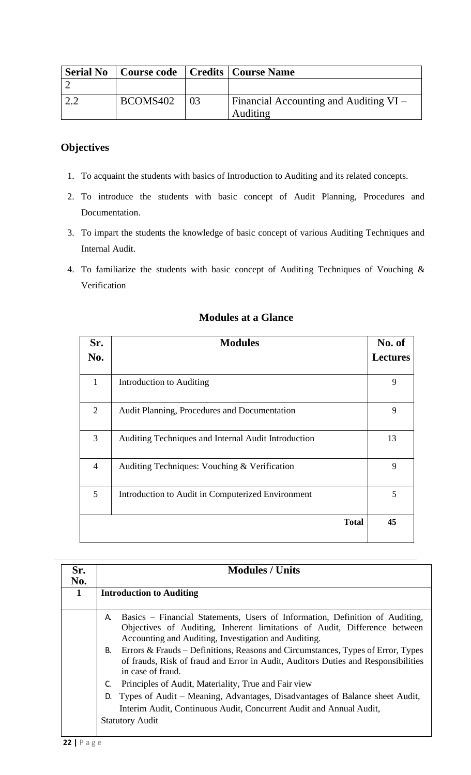| <b>Serial No</b> | <b>Course code</b> |    | <b>Credits   Course Name</b>                              |
|------------------|--------------------|----|-----------------------------------------------------------|
|                  |                    |    |                                                           |
|                  | BCOMS402           | 03 | <b>Financial Accounting and Auditing VI</b> –<br>Auditing |

# **Objectives**

- 1. To acquaint the students with basics of Introduction to Auditing and its related concepts.
- 2. To introduce the students with basic concept of Audit Planning, Procedures and Documentation.
- 3. To impart the students the knowledge of basic concept of various Auditing Techniques and Internal Audit.
- 4. To familiarize the students with basic concept of Auditing Techniques of Vouching & Verification

| Sr.            | <b>Modules</b>                                      | No. of          |
|----------------|-----------------------------------------------------|-----------------|
| No.            |                                                     | <b>Lectures</b> |
| 1              | Introduction to Auditing                            | 9               |
| 2              | Audit Planning, Procedures and Documentation        | 9               |
| $\overline{3}$ | Auditing Techniques and Internal Audit Introduction | 13              |
| $\overline{4}$ | Auditing Techniques: Vouching & Verification        | 9               |
| 5              | Introduction to Audit in Computerized Environment   | 5               |
|                | <b>Total</b>                                        | 45              |

# **Modules at a Glance**

| Sr.<br>No. |    | <b>Modules / Units</b>                                                                                                                                                                                            |
|------------|----|-------------------------------------------------------------------------------------------------------------------------------------------------------------------------------------------------------------------|
| 1          |    | <b>Introduction to Auditing</b>                                                                                                                                                                                   |
|            | A. | Basics – Financial Statements, Users of Information, Definition of Auditing,<br>Objectives of Auditing, Inherent limitations of Audit, Difference between<br>Accounting and Auditing, Investigation and Auditing. |
|            | В. | Errors & Frauds – Definitions, Reasons and Circumstances, Types of Error, Types<br>of frauds, Risk of fraud and Error in Audit, Auditors Duties and Responsibilities<br>in case of fraud.                         |
|            | C. | Principles of Audit, Materiality, True and Fair view                                                                                                                                                              |
|            | D. | Types of Audit – Meaning, Advantages, Disadvantages of Balance sheet Audit,<br>Interim Audit, Continuous Audit, Concurrent Audit and Annual Audit,<br><b>Statutory Audit</b>                                      |
|            |    |                                                                                                                                                                                                                   |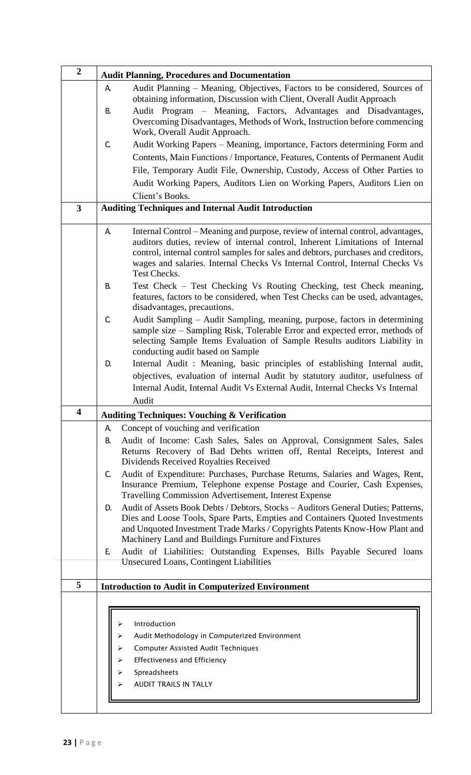| $\overline{2}$          | <b>Audit Planning, Procedures and Documentation</b>                                                                                                                                                                                                                                                                                                        |  |  |  |
|-------------------------|------------------------------------------------------------------------------------------------------------------------------------------------------------------------------------------------------------------------------------------------------------------------------------------------------------------------------------------------------------|--|--|--|
|                         | Audit Planning – Meaning, Objectives, Factors to be considered, Sources of<br>А.<br>obtaining information, Discussion with Client, Overall Audit Approach<br>Audit Program – Meaning, Factors, Advantages and Disadvantages,<br>В.<br>Overcoming Disadvantages, Methods of Work, Instruction before commencing                                             |  |  |  |
|                         | Work, Overall Audit Approach.                                                                                                                                                                                                                                                                                                                              |  |  |  |
|                         | C.<br>Audit Working Papers – Meaning, importance, Factors determining Form and                                                                                                                                                                                                                                                                             |  |  |  |
|                         | Contents, Main Functions / Importance, Features, Contents of Permanent Audit                                                                                                                                                                                                                                                                               |  |  |  |
|                         | File, Temporary Audit File, Ownership, Custody, Access of Other Parties to                                                                                                                                                                                                                                                                                 |  |  |  |
|                         | Audit Working Papers, Auditors Lien on Working Papers, Auditors Lien on                                                                                                                                                                                                                                                                                    |  |  |  |
|                         | Client's Books.                                                                                                                                                                                                                                                                                                                                            |  |  |  |
| $\overline{\mathbf{3}}$ | <b>Auditing Techniques and Internal Audit Introduction</b>                                                                                                                                                                                                                                                                                                 |  |  |  |
|                         | Internal Control – Meaning and purpose, review of internal control, advantages,<br>A.<br>auditors duties, review of internal control, Inherent Limitations of Internal<br>control, internal control samples for sales and debtors, purchases and creditors,<br>wages and salaries. Internal Checks Vs Internal Control, Internal Checks Vs<br>Test Checks. |  |  |  |
|                         | Test Check - Test Checking Vs Routing Checking, test Check meaning,<br>В.<br>features, factors to be considered, when Test Checks can be used, advantages,<br>disadvantages, precautions.                                                                                                                                                                  |  |  |  |
|                         | $\mathsf{C}$<br>Audit Sampling – Audit Sampling, meaning, purpose, factors in determining<br>sample size - Sampling Risk, Tolerable Error and expected error, methods of<br>selecting Sample Items Evaluation of Sample Results auditors Liability in<br>conducting audit based on Sample                                                                  |  |  |  |
|                         | Internal Audit: Meaning, basic principles of establishing Internal audit,<br>D.                                                                                                                                                                                                                                                                            |  |  |  |
|                         | objectives, evaluation of internal Audit by statutory auditor, usefulness of                                                                                                                                                                                                                                                                               |  |  |  |
|                         | Internal Audit, Internal Audit Vs External Audit, Internal Checks Vs Internal                                                                                                                                                                                                                                                                              |  |  |  |
|                         | Audit                                                                                                                                                                                                                                                                                                                                                      |  |  |  |
| 4                       | <b>Auditing Techniques: Vouching &amp; Verification</b>                                                                                                                                                                                                                                                                                                    |  |  |  |
|                         | Concept of vouching and verification<br>А.                                                                                                                                                                                                                                                                                                                 |  |  |  |
|                         | Audit of Income: Cash Sales, Sales on Approval, Consignment Sales, Sales<br>В.<br>Returns Recovery of Bad Debts written off, Rental Receipts, Interest and<br>Dividends Received Royalties Received                                                                                                                                                        |  |  |  |
|                         | Audit of Expenditure: Purchases, Purchase Returns, Salaries and Wages, Rent,<br>C.<br>Insurance Premium, Telephone expense Postage and Courier, Cash Expenses,<br>Travelling Commission Advertisement, Interest Expense                                                                                                                                    |  |  |  |
|                         | Audit of Assets Book Debts / Debtors, Stocks - Auditors General Duties; Patterns,<br>D.                                                                                                                                                                                                                                                                    |  |  |  |
|                         | Dies and Loose Tools, Spare Parts, Empties and Containers Quoted Investments<br>and Unquoted Investment Trade Marks / Copyrights Patents Know-How Plant and<br>Machinery Land and Buildings Furniture and Fixtures                                                                                                                                         |  |  |  |
|                         | Audit of Liabilities: Outstanding Expenses, Bills Payable Secured loans<br>E.                                                                                                                                                                                                                                                                              |  |  |  |
|                         | <b>Unsecured Loans, Contingent Liabilities</b>                                                                                                                                                                                                                                                                                                             |  |  |  |
| 5                       | <b>Introduction to Audit in Computerized Environment</b>                                                                                                                                                                                                                                                                                                   |  |  |  |
|                         |                                                                                                                                                                                                                                                                                                                                                            |  |  |  |
|                         | Introduction<br>Audit Methodology in Computerized Environment<br><b>Computer Assisted Audit Techniques</b><br>Effectiveness and Efficiency<br>Spreadsheets<br>⋗<br><b>AUDIT TRAILS IN TALLY</b>                                                                                                                                                            |  |  |  |
|                         |                                                                                                                                                                                                                                                                                                                                                            |  |  |  |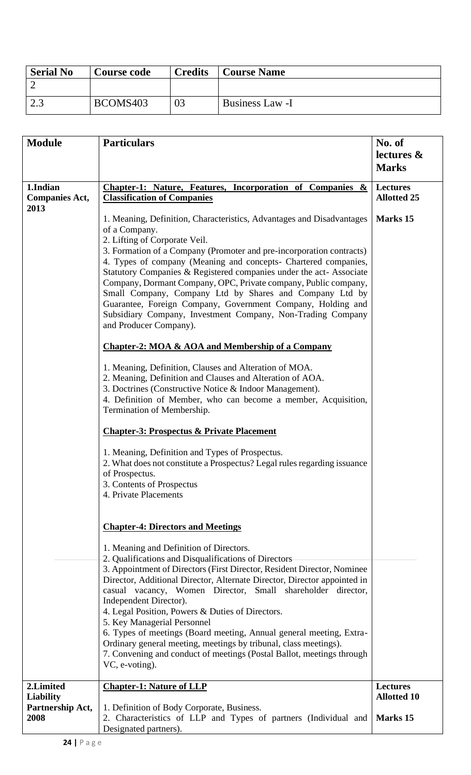| <b>Serial No</b> | <b>Course code</b> | <b>Credits</b> | <b>Course Name</b> |
|------------------|--------------------|----------------|--------------------|
|                  |                    |                |                    |
| ົາ 2<br>ن و گ    | BCOMS403           | 03             | Business Law -I    |

| <b>Module</b>                     | <b>Particulars</b>                                                                                                                                                                                                                                                                                                                                                                                                                                                                                                                                                                                                                                                                                                                                                                                                                                                                                                                                                              | No. of<br>lectures &                  |
|-----------------------------------|---------------------------------------------------------------------------------------------------------------------------------------------------------------------------------------------------------------------------------------------------------------------------------------------------------------------------------------------------------------------------------------------------------------------------------------------------------------------------------------------------------------------------------------------------------------------------------------------------------------------------------------------------------------------------------------------------------------------------------------------------------------------------------------------------------------------------------------------------------------------------------------------------------------------------------------------------------------------------------|---------------------------------------|
|                                   |                                                                                                                                                                                                                                                                                                                                                                                                                                                                                                                                                                                                                                                                                                                                                                                                                                                                                                                                                                                 | <b>Marks</b>                          |
|                                   |                                                                                                                                                                                                                                                                                                                                                                                                                                                                                                                                                                                                                                                                                                                                                                                                                                                                                                                                                                                 |                                       |
| 1.Indian<br><b>Companies Act,</b> | Chapter-1: Nature, Features, Incorporation of Companies &<br><b>Classification of Companies</b>                                                                                                                                                                                                                                                                                                                                                                                                                                                                                                                                                                                                                                                                                                                                                                                                                                                                                 | <b>Lectures</b><br><b>Allotted 25</b> |
| 2013                              | 1. Meaning, Definition, Characteristics, Advantages and Disadvantages<br>of a Company.<br>2. Lifting of Corporate Veil.<br>3. Formation of a Company (Promoter and pre-incorporation contracts)<br>4. Types of company (Meaning and concepts- Chartered companies,<br>Statutory Companies & Registered companies under the act-Associate<br>Company, Dormant Company, OPC, Private company, Public company,<br>Small Company, Company Ltd by Shares and Company Ltd by<br>Guarantee, Foreign Company, Government Company, Holding and<br>Subsidiary Company, Investment Company, Non-Trading Company<br>and Producer Company).<br><b>Chapter-2: MOA &amp; AOA and Membership of a Company</b><br>1. Meaning, Definition, Clauses and Alteration of MOA.<br>2. Meaning, Definition and Clauses and Alteration of AOA.<br>3. Doctrines (Constructive Notice & Indoor Management).<br>4. Definition of Member, who can become a member, Acquisition,<br>Termination of Membership. | Marks 15                              |
|                                   | <b>Chapter-3: Prospectus &amp; Private Placement</b>                                                                                                                                                                                                                                                                                                                                                                                                                                                                                                                                                                                                                                                                                                                                                                                                                                                                                                                            |                                       |
|                                   | 1. Meaning, Definition and Types of Prospectus.<br>2. What does not constitute a Prospectus? Legal rules regarding issuance<br>of Prospectus.<br>3. Contents of Prospectus<br>4. Private Placements                                                                                                                                                                                                                                                                                                                                                                                                                                                                                                                                                                                                                                                                                                                                                                             |                                       |
|                                   | <b>Chapter-4: Directors and Meetings</b>                                                                                                                                                                                                                                                                                                                                                                                                                                                                                                                                                                                                                                                                                                                                                                                                                                                                                                                                        |                                       |
|                                   | 1. Meaning and Definition of Directors.<br>2. Qualifications and Disqualifications of Directors<br>3. Appointment of Directors (First Director, Resident Director, Nominee)<br>Director, Additional Director, Alternate Director, Director appointed in<br>casual vacancy, Women Director, Small shareholder director,<br>Independent Director).<br>4. Legal Position, Powers & Duties of Directors.<br>5. Key Managerial Personnel<br>6. Types of meetings (Board meeting, Annual general meeting, Extra-<br>Ordinary general meeting, meetings by tribunal, class meetings).<br>7. Convening and conduct of meetings (Postal Ballot, meetings through<br>VC, e-voting).                                                                                                                                                                                                                                                                                                       |                                       |
| 2.Limited                         | <b>Chapter-1: Nature of LLP</b>                                                                                                                                                                                                                                                                                                                                                                                                                                                                                                                                                                                                                                                                                                                                                                                                                                                                                                                                                 | <b>Lectures</b>                       |
| Liability                         |                                                                                                                                                                                                                                                                                                                                                                                                                                                                                                                                                                                                                                                                                                                                                                                                                                                                                                                                                                                 | <b>Allotted 10</b>                    |
| Partnership Act,<br>2008          | 1. Definition of Body Corporate, Business.<br>2. Characteristics of LLP and Types of partners (Individual and<br>Designated partners).                                                                                                                                                                                                                                                                                                                                                                                                                                                                                                                                                                                                                                                                                                                                                                                                                                          | <b>Marks</b> 15                       |
|                                   |                                                                                                                                                                                                                                                                                                                                                                                                                                                                                                                                                                                                                                                                                                                                                                                                                                                                                                                                                                                 |                                       |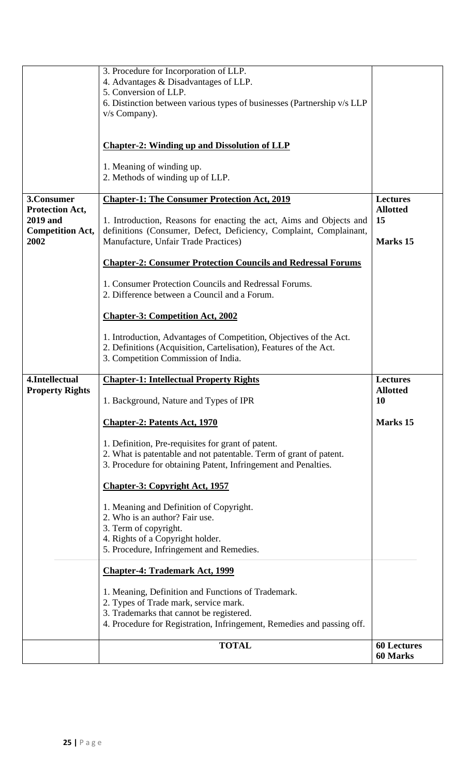|                                                               | 3. Procedure for Incorporation of LLP.<br>4. Advantages & Disadvantages of LLP.                                                                                                |                                       |
|---------------------------------------------------------------|--------------------------------------------------------------------------------------------------------------------------------------------------------------------------------|---------------------------------------|
|                                                               | 5. Conversion of LLP.<br>6. Distinction between various types of businesses (Partnership v/s LLP<br>v/s Company).                                                              |                                       |
|                                                               |                                                                                                                                                                                |                                       |
|                                                               | <b>Chapter-2: Winding up and Dissolution of LLP</b>                                                                                                                            |                                       |
|                                                               | 1. Meaning of winding up.<br>2. Methods of winding up of LLP.                                                                                                                  |                                       |
| 3.Consumer                                                    | <b>Chapter-1: The Consumer Protection Act, 2019</b>                                                                                                                            | <b>Lectures</b><br><b>Allotted</b>    |
| <b>Protection Act,</b><br>2019 and<br><b>Competition Act,</b> | 1. Introduction, Reasons for enacting the act, Aims and Objects and<br>definitions (Consumer, Defect, Deficiency, Complaint, Complainant,                                      | 15                                    |
| 2002                                                          | Manufacture, Unfair Trade Practices)                                                                                                                                           | <b>Marks</b> 15                       |
|                                                               | <b>Chapter-2: Consumer Protection Councils and Redressal Forums</b>                                                                                                            |                                       |
|                                                               | 1. Consumer Protection Councils and Redressal Forums.<br>2. Difference between a Council and a Forum.                                                                          |                                       |
|                                                               | <b>Chapter-3: Competition Act, 2002</b>                                                                                                                                        |                                       |
|                                                               | 1. Introduction, Advantages of Competition, Objectives of the Act.<br>2. Definitions (Acquisition, Cartelisation), Features of the Act.<br>3. Competition Commission of India. |                                       |
| 4.Intellectual<br><b>Property Rights</b>                      | <b>Chapter-1: Intellectual Property Rights</b>                                                                                                                                 | <b>Lectures</b><br><b>Allotted</b>    |
|                                                               | 1. Background, Nature and Types of IPR                                                                                                                                         | 10                                    |
|                                                               | <b>Chapter-2: Patents Act, 1970</b>                                                                                                                                            | Marks 15                              |
|                                                               | 1. Definition, Pre-requisites for grant of patent.<br>2. What is patentable and not patentable. Term of grant of patent.                                                       |                                       |
|                                                               | 3. Procedure for obtaining Patent, Infringement and Penalties.                                                                                                                 |                                       |
|                                                               | <b>Chapter-3: Copyright Act, 1957</b>                                                                                                                                          |                                       |
|                                                               | 1. Meaning and Definition of Copyright.                                                                                                                                        |                                       |
|                                                               | 2. Who is an author? Fair use.<br>3. Term of copyright.                                                                                                                        |                                       |
|                                                               | 4. Rights of a Copyright holder.<br>5. Procedure, Infringement and Remedies.                                                                                                   |                                       |
|                                                               | <b>Chapter-4: Trademark Act, 1999</b>                                                                                                                                          |                                       |
|                                                               | 1. Meaning, Definition and Functions of Trademark.                                                                                                                             |                                       |
|                                                               | 2. Types of Trade mark, service mark.                                                                                                                                          |                                       |
|                                                               | 3. Trademarks that cannot be registered.<br>4. Procedure for Registration, Infringement, Remedies and passing off.                                                             |                                       |
|                                                               | <b>TOTAL</b>                                                                                                                                                                   | <b>60 Lectures</b><br><b>60 Marks</b> |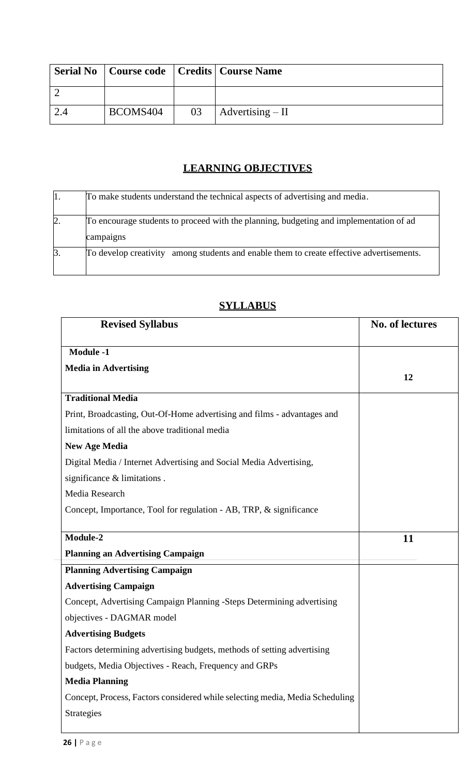|          |    | <b>Serial No</b>   Course code   Credits   Course Name |
|----------|----|--------------------------------------------------------|
|          |    |                                                        |
| BCOMS404 | 03 | $\vert$ Advertising – II                               |

# **LEARNING OBJECTIVES**

|                | To make students understand the technical aspects of advertising and media.                         |
|----------------|-----------------------------------------------------------------------------------------------------|
| 2.             | To encourage students to proceed with the planning, budgeting and implementation of ad<br>campaigns |
| $\mathbf{3}$ . | To develop creativity among students and enable them to create effective advertisements.            |

| <b>Revised Syllabus</b>                                                      | No. of lectures |
|------------------------------------------------------------------------------|-----------------|
| <b>Module -1</b>                                                             |                 |
| <b>Media in Advertising</b>                                                  | 12              |
| <b>Traditional Media</b>                                                     |                 |
| Print, Broadcasting, Out-Of-Home advertising and films - advantages and      |                 |
| limitations of all the above traditional media                               |                 |
| <b>New Age Media</b>                                                         |                 |
| Digital Media / Internet Advertising and Social Media Advertising,           |                 |
| significance & limitations.                                                  |                 |
| Media Research                                                               |                 |
| Concept, Importance, Tool for regulation - AB, TRP, & significance           |                 |
|                                                                              |                 |
| Module-2                                                                     | 11              |
| <b>Planning an Advertising Campaign</b>                                      |                 |
| <b>Planning Advertising Campaign</b>                                         |                 |
| <b>Advertising Campaign</b>                                                  |                 |
| Concept, Advertising Campaign Planning -Steps Determining advertising        |                 |
| objectives - DAGMAR model                                                    |                 |
| <b>Advertising Budgets</b>                                                   |                 |
| Factors determining advertising budgets, methods of setting advertising      |                 |
| budgets, Media Objectives - Reach, Frequency and GRPs                        |                 |
| <b>Media Planning</b>                                                        |                 |
| Concept, Process, Factors considered while selecting media, Media Scheduling |                 |
| Strategies                                                                   |                 |
|                                                                              |                 |

# **SYLLABUS**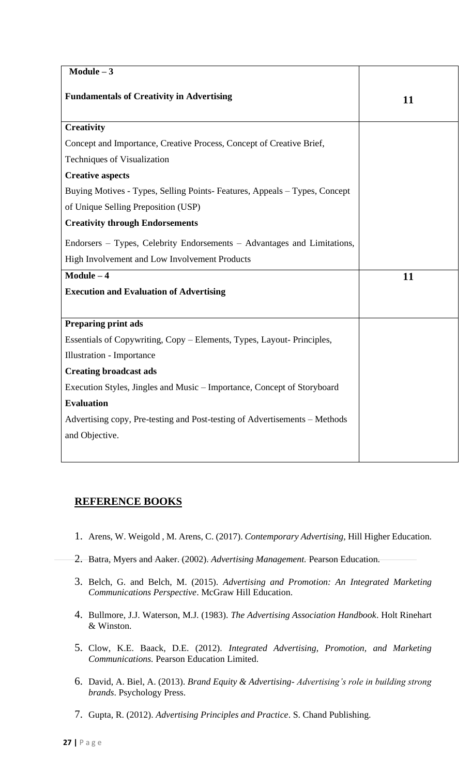| $Module - 3$                                                               |    |
|----------------------------------------------------------------------------|----|
| <b>Fundamentals of Creativity in Advertising</b>                           | 11 |
| <b>Creativity</b>                                                          |    |
| Concept and Importance, Creative Process, Concept of Creative Brief,       |    |
| Techniques of Visualization                                                |    |
| <b>Creative aspects</b>                                                    |    |
| Buying Motives - Types, Selling Points- Features, Appeals - Types, Concept |    |
| of Unique Selling Preposition (USP)                                        |    |
| <b>Creativity through Endorsements</b>                                     |    |
| Endorsers – Types, Celebrity Endorsements – Advantages and Limitations,    |    |
| High Involvement and Low Involvement Products                              |    |
| $Module - 4$                                                               | 11 |
| <b>Execution and Evaluation of Advertising</b>                             |    |
|                                                                            |    |
| <b>Preparing print ads</b>                                                 |    |
| Essentials of Copywriting, Copy - Elements, Types, Layout- Principles,     |    |
| Illustration - Importance                                                  |    |
| <b>Creating broadcast ads</b>                                              |    |
| Execution Styles, Jingles and Music – Importance, Concept of Storyboard    |    |
| <b>Evaluation</b>                                                          |    |
| Advertising copy, Pre-testing and Post-testing of Advertisements – Methods |    |
| and Objective.                                                             |    |
|                                                                            |    |

# **REFERENCE BOOKS**

- 1. Arens, W. Weigold , M. Arens, C. (2017). *Contemporary Advertising,* Hill Higher Education.
- 2. Batra, Myers and Aaker. (2002). *Advertising Management.* Pearson Education.
- 3. Belch, G. and Belch, M. (2015). *Advertising and Promotion: An Integrated Marketing Communications Perspective*. McGraw Hill Education.
- 4. Bullmore, J.J. Waterson, M.J. (1983). *The Advertising Association Handbook*. Holt Rinehart & Winston.
- 5. Clow, K.E. Baack, D.E. (2012). *Integrated Advertising, Promotion, and Marketing Communications.* Pearson Education Limited.
- 6. David, A. Biel, A. (2013). *Brand Equity & Advertising- Advertising's role in building strong brands*. Psychology Press.
- 7. Gupta, R. (2012). *Advertising Principles and Practice*. S. Chand Publishing.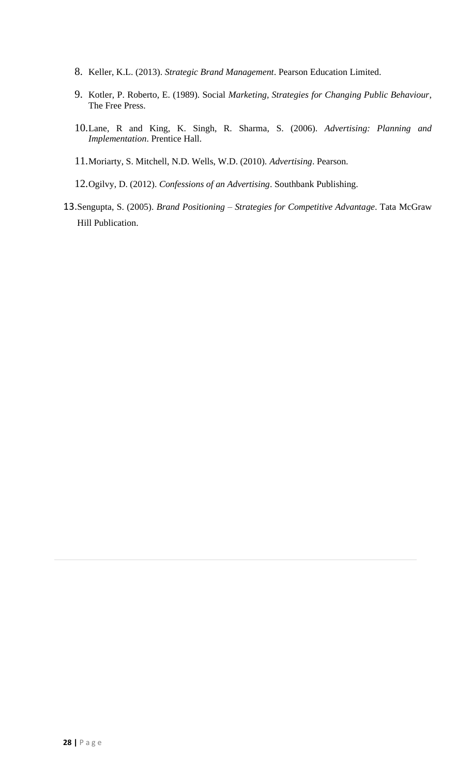- 8. Keller, K.L. (2013). *Strategic Brand Management*. Pearson Education Limited.
- 9. Kotler, P. Roberto, E. (1989). Social *Marketing, Strategies for Changing Public Behaviour*, The Free Press.
- 10.Lane, R and King, K. Singh, R. Sharma, S. (2006). *Advertising: Planning and Implementation*. Prentice Hall.
- 11.Moriarty, S. Mitchell, N.D. Wells, W.D. (2010). *Advertising*. Pearson.
- 12.Ogilvy, D. (2012). *Confessions of an Advertising*. Southbank Publishing.
- 13.Sengupta, S. (2005). *Brand Positioning – Strategies for Competitive Advantage*. Tata McGraw Hill Publication.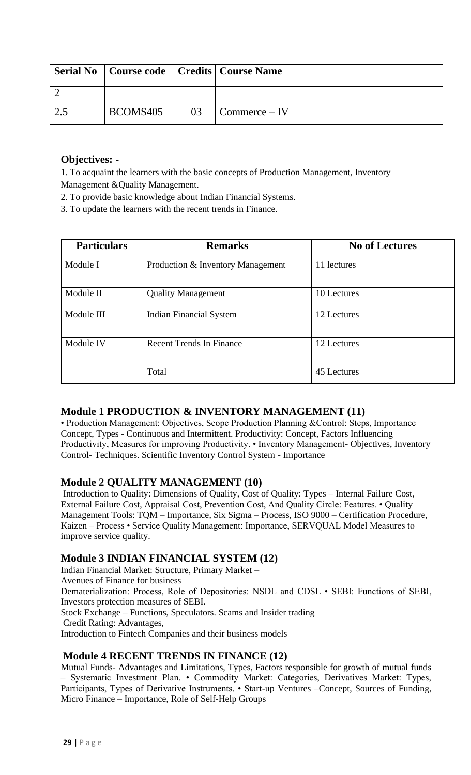|          |    | Serial No   Course code   Credits   Course Name |
|----------|----|-------------------------------------------------|
|          |    |                                                 |
| BCOMS405 | 03 | $\Gamma$ Commerce – IV                          |

## **Objectives: -**

1. To acquaint the learners with the basic concepts of Production Management, Inventory Management &Quality Management.

2. To provide basic knowledge about Indian Financial Systems.

3. To update the learners with the recent trends in Finance.

| <b>Particulars</b> | <b>Remarks</b>                    | <b>No of Lectures</b> |
|--------------------|-----------------------------------|-----------------------|
| Module I           | Production & Inventory Management | 11 lectures           |
| Module II          | <b>Quality Management</b>         | 10 Lectures           |
| Module III         | <b>Indian Financial System</b>    | 12 Lectures           |
| Module IV          | <b>Recent Trends In Finance</b>   | 12 Lectures           |
|                    | Total                             | 45 Lectures           |

# **Module 1 PRODUCTION & INVENTORY MANAGEMENT (11)**

• Production Management: Objectives, Scope Production Planning &Control: Steps, Importance Concept, Types - Continuous and Intermittent. Productivity: Concept, Factors Influencing Productivity, Measures for improving Productivity. • Inventory Management- Objectives, Inventory Control- Techniques. Scientific Inventory Control System - Importance

# **Module 2 QUALITY MANAGEMENT (10)**

Introduction to Quality: Dimensions of Quality, Cost of Quality: Types – Internal Failure Cost, External Failure Cost, Appraisal Cost, Prevention Cost, And Quality Circle: Features. • Quality Management Tools: TQM – Importance, Six Sigma – Process, ISO 9000 – Certification Procedure, Kaizen – Process • Service Quality Management: Importance, SERVQUAL Model Measures to improve service quality.

### **Module 3 INDIAN FINANCIAL SYSTEM (12)**

Indian Financial Market: Structure, Primary Market – Avenues of Finance for business Dematerialization: Process, Role of Depositories: NSDL and CDSL • SEBI: Functions of SEBI, Investors protection measures of SEBI. Stock Exchange – Functions, Speculators. Scams and Insider trading Credit Rating: Advantages, Introduction to Fintech Companies and their business models

### **Module 4 RECENT TRENDS IN FINANCE (12)**

Mutual Funds- Advantages and Limitations, Types, Factors responsible for growth of mutual funds – Systematic Investment Plan. • Commodity Market: Categories, Derivatives Market: Types, Participants, Types of Derivative Instruments. • Start-up Ventures –Concept, Sources of Funding, Micro Finance – Importance, Role of Self-Help Groups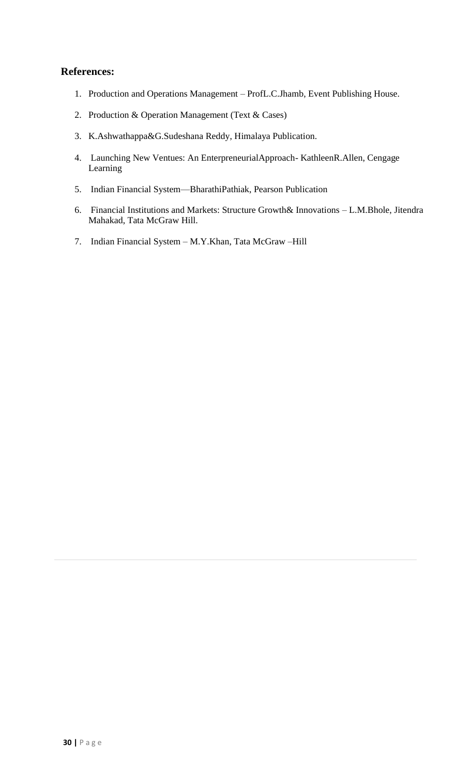- 1. Production and Operations Management ProfL.C.Jhamb, Event Publishing House.
- 2. Production & Operation Management (Text & Cases)
- 3. K.Ashwathappa&G.Sudeshana Reddy, Himalaya Publication.
- 4. Launching New Ventues: An EnterpreneurialApproach- KathleenR.Allen, Cengage Learning
- 5. Indian Financial System—BharathiPathiak, Pearson Publication
- 6. Financial Institutions and Markets: Structure Growth& Innovations L.M.Bhole, Jitendra Mahakad, Tata McGraw Hill.
- 7. Indian Financial System M.Y.Khan, Tata McGraw –Hill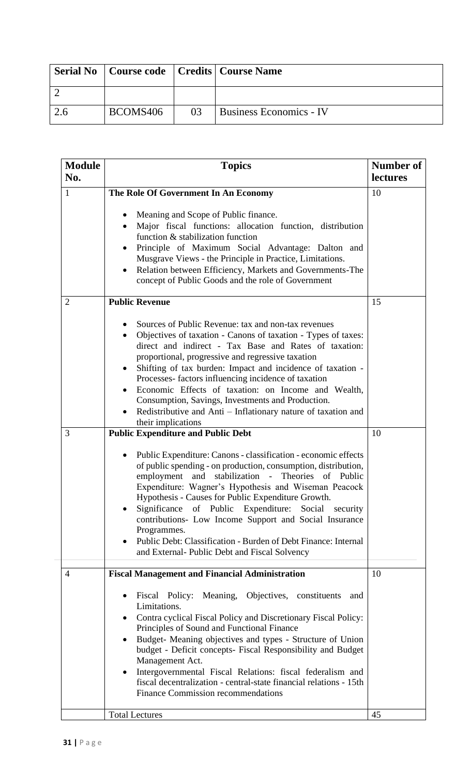|          |    | Serial No   Course code   Credits   Course Name |
|----------|----|-------------------------------------------------|
|          |    |                                                 |
| BCOMS406 | 03 | <b>Business Economics - IV</b>                  |

| <b>Module</b><br>No. | <b>Topics</b>                                                                                                                                                                                                                                                                                                                                                                                                                                                                                                                                                      | Number of<br>lectures |
|----------------------|--------------------------------------------------------------------------------------------------------------------------------------------------------------------------------------------------------------------------------------------------------------------------------------------------------------------------------------------------------------------------------------------------------------------------------------------------------------------------------------------------------------------------------------------------------------------|-----------------------|
| $\mathbf{1}$         | The Role Of Government In An Economy                                                                                                                                                                                                                                                                                                                                                                                                                                                                                                                               | 10                    |
|                      | Meaning and Scope of Public finance.<br>$\bullet$<br>Major fiscal functions: allocation function, distribution<br>function & stabilization function<br>Principle of Maximum Social Advantage: Dalton and<br>Musgrave Views - the Principle in Practice, Limitations.<br>Relation between Efficiency, Markets and Governments-The<br>concept of Public Goods and the role of Government                                                                                                                                                                             |                       |
| $\overline{2}$       | <b>Public Revenue</b>                                                                                                                                                                                                                                                                                                                                                                                                                                                                                                                                              | 15                    |
|                      | Sources of Public Revenue: tax and non-tax revenues<br>Objectives of taxation - Canons of taxation - Types of taxes:<br>direct and indirect - Tax Base and Rates of taxation:<br>proportional, progressive and regressive taxation<br>Shifting of tax burden: Impact and incidence of taxation -<br>Processes-factors influencing incidence of taxation<br>Economic Effects of taxation: on Income and Wealth,<br>Consumption, Savings, Investments and Production.<br>Redistributive and Anti – Inflationary nature of taxation and<br>their implications         |                       |
| 3                    | <b>Public Expenditure and Public Debt</b>                                                                                                                                                                                                                                                                                                                                                                                                                                                                                                                          | 10                    |
|                      | Public Expenditure: Canons - classification - economic effects<br>of public spending - on production, consumption, distribution,<br>employment and stabilization - Theories of Public<br>Expenditure: Wagner's Hypothesis and Wiseman Peacock<br>Hypothesis - Causes for Public Expenditure Growth.<br>Significance of Public Expenditure: Social security<br>contributions- Low Income Support and Social Insurance<br>Programmes.<br>Public Debt: Classification - Burden of Debt Finance: Internal<br>$\bullet$<br>and External-Public Debt and Fiscal Solvency |                       |
| $\overline{4}$       | <b>Fiscal Management and Financial Administration</b>                                                                                                                                                                                                                                                                                                                                                                                                                                                                                                              | 10                    |
|                      | Fiscal Policy: Meaning, Objectives, constituents<br>and<br>$\bullet$<br>Limitations.<br>Contra cyclical Fiscal Policy and Discretionary Fiscal Policy:<br>Principles of Sound and Functional Finance<br>Budget- Meaning objectives and types - Structure of Union<br>budget - Deficit concepts- Fiscal Responsibility and Budget<br>Management Act.<br>Intergovernmental Fiscal Relations: fiscal federalism and<br>fiscal decentralization - central-state financial relations - 15th<br><b>Finance Commission recommendations</b>                                |                       |
|                      | <b>Total Lectures</b>                                                                                                                                                                                                                                                                                                                                                                                                                                                                                                                                              | 45                    |
|                      |                                                                                                                                                                                                                                                                                                                                                                                                                                                                                                                                                                    |                       |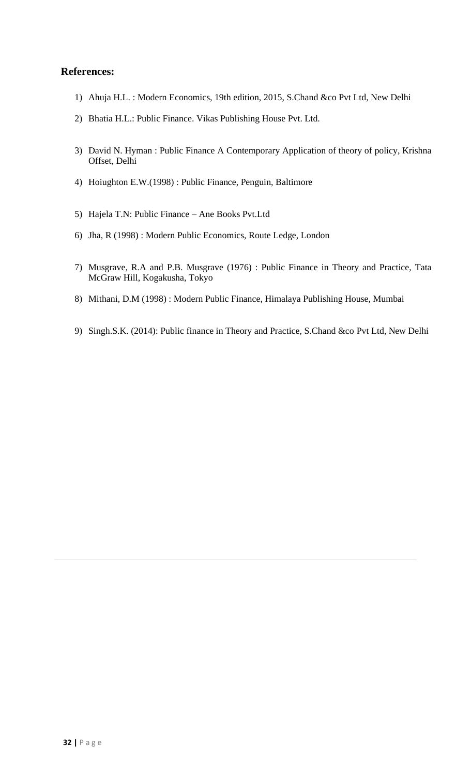- 1) Ahuja H.L. : Modern Economics, 19th edition, 2015, S.Chand &co Pvt Ltd, New Delhi
- 2) Bhatia H.L.: Public Finance. Vikas Publishing House Pvt. Ltd.
- 3) David N. Hyman : Public Finance A Contemporary Application of theory of policy, Krishna Offset, Delhi
- 4) Hoiughton E.W.(1998) : Public Finance, Penguin, Baltimore
- 5) Hajela T.N: Public Finance Ane Books Pvt.Ltd
- 6) Jha, R (1998) : Modern Public Economics, Route Ledge, London
- 7) Musgrave, R.A and P.B. Musgrave (1976) : Public Finance in Theory and Practice, Tata McGraw Hill, Kogakusha, Tokyo
- 8) Mithani, D.M (1998) : Modern Public Finance, Himalaya Publishing House, Mumbai
- 9) Singh.S.K. (2014): Public finance in Theory and Practice, S.Chand &co Pvt Ltd, New Delhi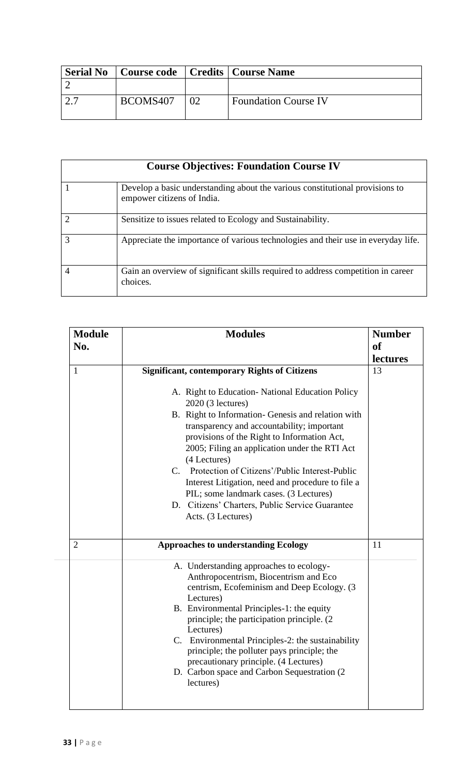| <b>Serial No</b> | Course code   Credits   Course Name |                             |
|------------------|-------------------------------------|-----------------------------|
|                  |                                     |                             |
|                  | BCOMS407                            | <b>Foundation Course IV</b> |

|   | <b>Course Objectives: Foundation Course IV</b>                                                             |
|---|------------------------------------------------------------------------------------------------------------|
|   | Develop a basic understanding about the various constitutional provisions to<br>empower citizens of India. |
|   | Sensitize to issues related to Ecology and Sustainability.                                                 |
|   | Appreciate the importance of various technologies and their use in everyday life.                          |
| 4 | Gain an overview of significant skills required to address competition in career<br>choices.               |

| <b>Module</b><br>No. | <b>Modules</b>                                                                                                                                                                                                                                                                                                                                                                                                                                                                                                                                                               | <b>Number</b><br><b>of</b><br>lectures |
|----------------------|------------------------------------------------------------------------------------------------------------------------------------------------------------------------------------------------------------------------------------------------------------------------------------------------------------------------------------------------------------------------------------------------------------------------------------------------------------------------------------------------------------------------------------------------------------------------------|----------------------------------------|
| $\mathbf{1}$         | <b>Significant, contemporary Rights of Citizens</b><br>A. Right to Education-National Education Policy<br>2020 (3 lectures)<br>B. Right to Information- Genesis and relation with<br>transparency and accountability; important<br>provisions of the Right to Information Act,<br>2005; Filing an application under the RTI Act<br>(4 Lectures)<br>C. Protection of Citizens'/Public Interest-Public<br>Interest Litigation, need and procedure to file a<br>PIL; some landmark cases. (3 Lectures)<br>D. Citizens' Charters, Public Service Guarantee<br>Acts. (3 Lectures) | 13                                     |
| $\overline{2}$       | <b>Approaches to understanding Ecology</b>                                                                                                                                                                                                                                                                                                                                                                                                                                                                                                                                   | 11                                     |
|                      | A. Understanding approaches to ecology-<br>Anthropocentrism, Biocentrism and Eco<br>centrism, Ecofeminism and Deep Ecology. (3<br>Lectures)<br>B. Environmental Principles-1: the equity<br>principle; the participation principle. (2)<br>Lectures)<br>C. Environmental Principles-2: the sustainability<br>principle; the polluter pays principle; the<br>precautionary principle. (4 Lectures)<br>D. Carbon space and Carbon Sequestration (2)<br>lectures)                                                                                                               |                                        |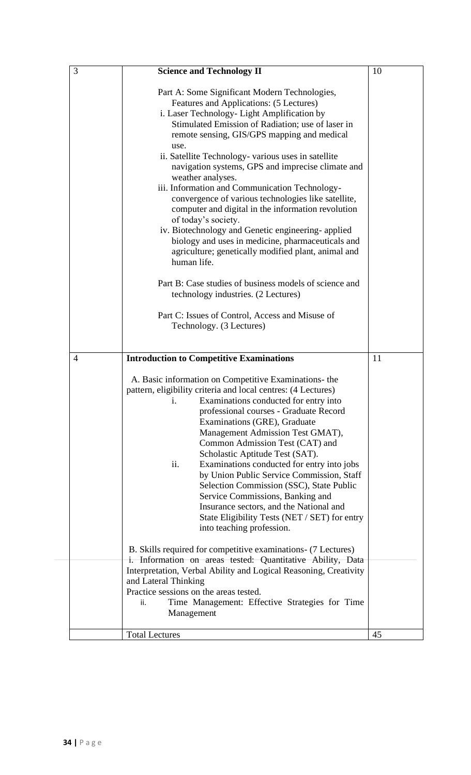| 3              | <b>Science and Technology II</b>                                                                                                                                                                                                                                                                                                                                                                                                                                                                                                                                                                                                                                                                                                                                                                                                                                                                                                           | 10 |
|----------------|--------------------------------------------------------------------------------------------------------------------------------------------------------------------------------------------------------------------------------------------------------------------------------------------------------------------------------------------------------------------------------------------------------------------------------------------------------------------------------------------------------------------------------------------------------------------------------------------------------------------------------------------------------------------------------------------------------------------------------------------------------------------------------------------------------------------------------------------------------------------------------------------------------------------------------------------|----|
|                | Part A: Some Significant Modern Technologies,<br>Features and Applications: (5 Lectures)<br>i. Laser Technology- Light Amplification by<br>Stimulated Emission of Radiation; use of laser in<br>remote sensing, GIS/GPS mapping and medical<br>use.<br>ii. Satellite Technology- various uses in satellite<br>navigation systems, GPS and imprecise climate and<br>weather analyses.<br>iii. Information and Communication Technology-<br>convergence of various technologies like satellite,<br>computer and digital in the information revolution<br>of today's society.<br>iv. Biotechnology and Genetic engineering-applied<br>biology and uses in medicine, pharmaceuticals and<br>agriculture; genetically modified plant, animal and<br>human life.<br>Part B: Case studies of business models of science and<br>technology industries. (2 Lectures)<br>Part C: Issues of Control, Access and Misuse of<br>Technology. (3 Lectures) |    |
| $\overline{4}$ | <b>Introduction to Competitive Examinations</b>                                                                                                                                                                                                                                                                                                                                                                                                                                                                                                                                                                                                                                                                                                                                                                                                                                                                                            | 11 |
|                | A. Basic information on Competitive Examinations- the<br>pattern, eligibility criteria and local centres: (4 Lectures)<br>Examinations conducted for entry into<br>i.<br>professional courses - Graduate Record<br>Examinations (GRE), Graduate<br>Management Admission Test GMAT),<br>Common Admission Test (CAT) and<br>Scholastic Aptitude Test (SAT).<br>ii.<br>Examinations conducted for entry into jobs<br>by Union Public Service Commission, Staff<br>Selection Commission (SSC), State Public<br>Service Commissions, Banking and<br>Insurance sectors, and the National and<br>State Eligibility Tests (NET / SET) for entry<br>into teaching profession.<br>B. Skills required for competitive examinations - (7 Lectures)<br>i. Information on areas tested: Quantitative Ability, Data<br>Interpretation, Verbal Ability and Logical Reasoning, Creativity                                                                   |    |
|                | and Lateral Thinking<br>Practice sessions on the areas tested.<br>Time Management: Effective Strategies for Time<br>ii.<br>Management                                                                                                                                                                                                                                                                                                                                                                                                                                                                                                                                                                                                                                                                                                                                                                                                      |    |
|                | <b>Total Lectures</b>                                                                                                                                                                                                                                                                                                                                                                                                                                                                                                                                                                                                                                                                                                                                                                                                                                                                                                                      | 45 |